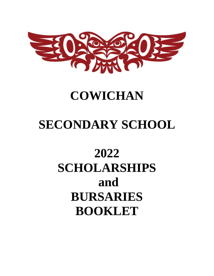

# **COWICHAN**

# **SECONDARY SCHOOL**

# **2022 SCHOLARSHIPS and BURSARIES BOOKLET**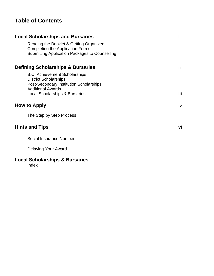## **Table of Contents**

|                     | <b>Local Scholarships and Bursaries</b>                                                                                                                                                  | i    |
|---------------------|------------------------------------------------------------------------------------------------------------------------------------------------------------------------------------------|------|
|                     | Reading the Booklet & Getting Organized<br><b>Completing the Application Forms</b><br>Submitting Application Packages to Counselling                                                     |      |
|                     | <b>Defining Scholarships &amp; Bursaries</b>                                                                                                                                             | ii.  |
|                     | <b>B.C. Achievement Scholarships</b><br><b>District Scholarships</b><br>Post-Secondary Institution Scholarships<br><b>Additional Awards</b><br><b>Local Scholarships &amp; Bursaries</b> | iii. |
| <b>How to Apply</b> |                                                                                                                                                                                          | iv   |
|                     | The Step by Step Process                                                                                                                                                                 |      |
|                     | <b>Hints and Tips</b>                                                                                                                                                                    | vi   |
|                     | Social Insurance Number                                                                                                                                                                  |      |
|                     | Delaying Your Award                                                                                                                                                                      |      |
|                     | <b>Local Scholarships &amp; Bursaries</b>                                                                                                                                                |      |

Index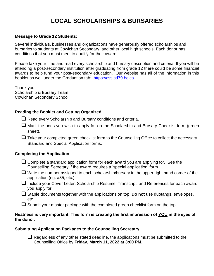## **LOCAL SCHOLARSHIPS & BURSARIES**

### **Message to Grade 12 Students:**

Several individuals, businesses and organizations have generously offered scholarships and bursaries to students at Cowichan Secondary, and other local high schools. Each donor has conditions that you must meet to qualify for their award.

Please take your time and read every scholarship and bursary description and criteria. If you will be attending a post-secondary institution after graduating from grade 12 there could be some financial awards to help fund your post-secondary education. Our website has all of the information in this booklet as well under the Graduation tab: [https://css.sd79.bc.ca](https://css.sd79.bc.ca/graduation/how-to-apply-for-awards/)

Thank you, Scholarship & Bursary Team, Cowichan Secondary School

### **Reading the Booklet and Getting Organized**

 $\Box$  Read every Scholarship and Bursary conditions and criteria.

- $\Box$  Mark the ones you wish to apply for on the Scholarship and Bursary Checklist form (green sheet).
- Take your completed green checklist form to the Counselling Office to collect the necessary Standard and Special Application forms.

### **Completing the Application**

- ❑ Complete a standard application form for each award you are applying for. See the Counselling Secretary if the award requires a 'special application' form.
- $\Box$  Write the number assigned to each scholarship/bursary in the upper right hand corner of the application (eg: #35, etc.)
- ❑ Include your Cover Letter, Scholarship Resume, Transcript, and References for each award you apply for.
- ❑ Staple documents together with the applications on top. **Do not** use duotangs, envelopes, etc.
- $\Box$  Submit your master package with the completed green checklist form on the top.

### **Neatness is very important. This form is creating the first impression of YOU in the eyes of the donor.**

### **Submitting Application Packages to the Counselling Secretary**

 $\Box$  Regardless of any other stated deadline, the applications must be submitted to the Counselling Office by **Friday, March 11, 2022 at 3:00 PM.**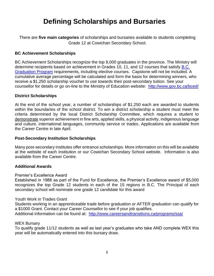## **Defining Scholarships and Bursaries**

There are **five main categories** of scholarships and bursaries available to students completing Grade 12 at Cowichan Secondary School.

### **BC Achievement Scholarships**

BC Achievement Scholarships recognize the top 8,000 graduates in the province. The Ministry will determine recipients based on achievement in Grades 10, 11, and 12 courses that satisfy B.C. [Graduation Program](https://www2.gov.bc.ca/gov/content/education-training/k-12/support/graduation) requirements, including elective courses. Capstone will not be included. A cumulative average percentage will be calculated and form the basis for determining winners, who receive a \$1,250 scholarship voucher to use towards their post-secondary tuition. See your counsellor for details or go on-line to the Ministry of Education website: <http://www.gov.bc.ca/bced/>

### **District Scholarships**

At the end of the school year, a number of scholarships of \$1,250 each are awarded to students within the boundaries of the school district. To win a district scholarship a student must meet the criteria determined by the local District Scholarship Committee, which requires a student to demonstrate superior achievement in fine arts, applied skills, a physical activity, indigenous language and culture, international languages, community service or trades. Applications are available from the Career Centre in late April.

### **Post-Secondary Institution Scholarships**

Many post-secondary institutes offer entrance scholarships. More information on this will be available at the website of each institution or our Cowichan Secondary School website. Information is also available from the Career Centre.

### **Additional Awards**

### Premier's Excellence Award

Established in 1986 as part of the Fund for Excellence, the Premier's Excellence award of \$5,000 recognizes the top Grade 12 students in each of the 15 regions in B.C. The Principal of each secondary school will nominate one grade 12 candidate for this award

### Youth Work in Trades Grant

Students working in an apprenticeable trade before graduation or AFTER graduation can qualify for a \$1000 Grant. Contact your Career Counsellor to see if your job qualifies. Additional information can be found at: <http://www.careersandtransitions.ca/programs/ssa/>

#### WEX Bursary

To qualify grade 11/12 students as well as last year's graduates who take AND complete WEX this year will be automatically entered into this bursary draw.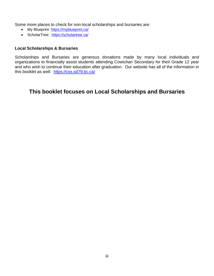Some more places to check for non-local scholarships and bursaries are:

- My Blueprint:<https://myblueprint.ca/>
- ScholarTree: <https://scholartree.ca/>

### **Local Scholarships & Bursaries**

Scholarships and Bursaries are generous donations made by many local individuals and organizations to financially assist students attending Cowichan Secondary for their Grade 12 year and who wish to continue their education after graduation. Our website has all of the information in this booklet as well: <https://css.sd79.bc.ca/>

### **This booklet focuses on Local Scholarships and Bursaries**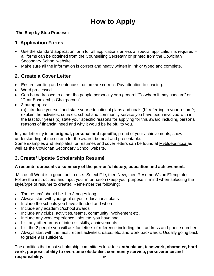## **How to Apply**

### **The Step by Step Process:**

### **1. Application Forms**

- Use the standard application form for all applications unless a 'special application' is required all forms can be obtained from the Counselling Secretary or printed from the Cowichan Secondary School website.
- Make sure all the information is correct and neatly written in ink or typed and complete.

### **2. Create a Cover Letter**

- Ensure spelling and sentence structure are correct. Pay attention to spacing.
- Word processed.
- Can be addressed to either the people personally or a general "To whom it may concern" or "Dear Scholarship Chairperson".
- 3 paragraphs:

(a) introduce yourself and state your educational plans and goals (b) referring to your resumé; explain the activities, courses, school and community service you have been involved with in the last four years (c) state your specific reasons for applying for this award including personal reasons of financial need and why it would be helpful to you.

In your letter try to be **original, personal and specific**, proud of your achievements, show understanding of the criteria for the award, be neat and presentable.

Some examples and templates for resumes and cover letters can be found at [Myblueprint.ca](https://myblueprint.ca/) as well as the Cowichan Secondary School website.

### **3. Create/ Update Scholarship Resumé**

### **A resumé represents a summary of the person's history, education and achievement.**

Microsoft Word is a good tool to use: Select File, then New, then Resumé Wizard/Templates. Follow the instructions and input your information (keep your purpose in mind when selecting the style/type of resume to create). Remember the following:

- The resume should be 1 to 3 pages long
- Always start with your goal or your educational plans
- Include the schools you have attended and when
- Include any academic/school awards
- Include any clubs, activities, teams, community involvement etc.
- Include any work experience, jobs etc. you have had
- List any other areas of interest, skills, achievements
- List the 2 people you will ask for letters of reference including their address and phone number
- Always start with the most recent activities, dates, etc. and work backwards. Usually going back to grade 9 is sufficient.

The qualities that most scholarship committees look for: **enthusiasm, teamwork, character, hard work, purpose, ability to overcome obstacles, community service, perseverance and responsibility.** iv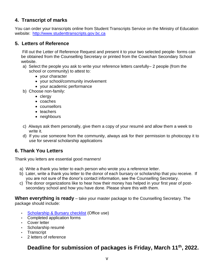### **4. Transcript of marks**

You can order your transcripts online from Student Transcripts Service on the Ministry of Education website: [http://www.studenttranscripts.gov.bc.ca](http://www.studenttranscripts.gov.bc.ca/) 

### **5. Letters of Reference**

Fill out the [Letter of Reference Request](https://fkss.sd79.bc.ca/wp-content/uploads/sites/104/2020/01/Frances-Kelsey-Secondary-School-Letter-of-Reference-Request-1.docm) and present it to your two selected people- forms can be obtained from the Counselling Secretary or printed from the Cowichan Secondary School website.

- a) Select the people you ask to write your reference letters carefully– 2 people (from the school or community) to attest to:
	- your character
	- your school/community involvement
	- your academic performance
- b) Choose non-family:
	- clergy
	- coaches
	- counsellors
	- teachers
	- neighbours
- c) Always ask them personally, give them a copy of your resumé and allow them a week to write it.
- d) If you use someone from the community, always ask for their permission to photocopy it to use for several scholarship applications

### **6. Thank You Letters**

Thank you letters are essential good manners!

- a) Write a thank you letter to each person who wrote you a reference letter.
- b) Later, write a thank you letter to the donor of each bursary or scholarship that you receive. If you are not sure of the donor's contact information, see the Counselling Secretary.
- c) The donor organizations like to hear how their money has helped in your first year of postsecondary school and how you have done. Please share this with them.

**When everything is ready** – take your master package to the Counselling Secretary. The package should include:

- [Scholarship & Bursary checklist](../Website_Files/2021-2022%20Scholarship%20&%20Bursary%20Checklist%20.pdf) (Office use)
- Completed application forms
- Cover letter
- Scholarship resumé
- Transcript
- 2 letters of reference

### **Deadline for submission of packages is Friday, March 11th, 2022.**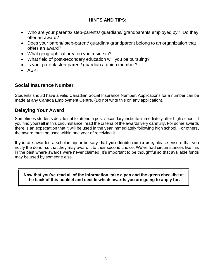### **HINTS AND TIPS:**

- Who are your parents/ step-parents/ guardians/ grandparents employed by? Do they offer an award?
- Does your parent/ step-parent/ guardian/ grandparent belong to an organization that offers an award?
- What geographical area do you reside in?
- What field of post-secondary education will you be pursuing?
- Is your parent/ step-parent/ quardian a union member?
- ASK!

### **Social Insurance Number**

Students should have a valid Canadian Social Insurance Number. Applications for a number can be made at any Canada Employment Centre. (Do not write this on any application).

### **Delaying Your Award**

Sometimes students decide not to attend a post-secondary institute immediately after high school. If you find yourself in this circumstance, read the criteria of the awards very carefully. For some awards there is an expectation that it will be used in the year immediately following high school. For others, the award must be used within one year of receiving it.

If you are awarded a scholarship or bursary **that you decide not to use,** please ensure that you notify the donor so that they may award it to their second choice. We've had circumstances like this in the past where awards were never claimed. It's important to be thoughtful so that available funds may be used by someone else.

**Now that you've read all of the information, take a pen and the green checklist at the back of this booklet and decide which awards you are going to apply for.**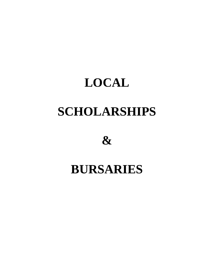# **LOCAL SCHOLARSHIPS**

**&**

# **BURSARIES**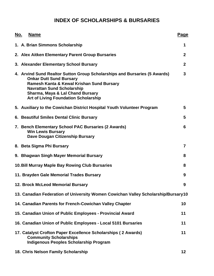### **INDEX OF SCHOLARSHIPS & BURSARIES**

| No. | <b>Name</b>                                                                                                                                                                                                                                                                                 | Page             |
|-----|---------------------------------------------------------------------------------------------------------------------------------------------------------------------------------------------------------------------------------------------------------------------------------------------|------------------|
|     | 1. A. Brian Simmons Scholarship                                                                                                                                                                                                                                                             | 1                |
|     | 2. Alex Aitken Elementary Parent Group Bursaries                                                                                                                                                                                                                                            | $\boldsymbol{2}$ |
|     | 3. Alexander Elementary School Bursary                                                                                                                                                                                                                                                      | $\mathbf{2}$     |
|     | 4. Arvind Sund Realtor Sutton Group Scholarships and Bursaries (5 Awards)<br><b>Onkar Dutt Sund Bursary</b><br>Ramesh Kanta & Kewal Krishan Sund Bursary<br><b>Navrattan Sund Scholarship</b><br><b>Sharma, Maya &amp; Lal Chand Bursary</b><br><b>Art of Living Foundation Scholarship</b> | 3                |
|     | 5. Auxiliary to the Cowichan District Hospital Youth Volunteer Program                                                                                                                                                                                                                      | 5                |
|     | 6. Beautiful Smiles Dental Clinic Bursary                                                                                                                                                                                                                                                   | 5                |
|     | 7. Bench Elementary School PAC Bursaries (2 Awards)<br><b>Win Lewis Bursary</b><br>Dave Dougan Citizenship Bursary                                                                                                                                                                          | 6                |
|     | 8. Beta Sigma Phi Bursary                                                                                                                                                                                                                                                                   | $\overline{7}$   |
|     | 9. Bhagwan Singh Mayer Memorial Bursary                                                                                                                                                                                                                                                     | 8                |
|     | 10. Bill Murray Maple Bay Rowing Club Bursaries                                                                                                                                                                                                                                             | 8                |
|     | 11. Brayden Gale Memorial Trades Bursary                                                                                                                                                                                                                                                    | 9                |
|     | 12. Brock McLeod Memorial Bursary                                                                                                                                                                                                                                                           | 9                |
|     | 13. Canadian Federation of University Women Cowichan Valley Scholarship/Bursary10                                                                                                                                                                                                           |                  |
|     | 14. Canadian Parents for French-Cowichan Valley Chapter                                                                                                                                                                                                                                     | 10               |
|     | 15. Canadian Union of Public Employees - Provincial Award                                                                                                                                                                                                                                   | 11               |
|     | 16. Canadian Union of Public Employees - Local 5101 Bursaries                                                                                                                                                                                                                               | 11               |
|     | 17. Catalyst Crofton Paper Excellence Scholarships (2 Awards)<br><b>Community Scholarships</b><br><b>Indigenous Peoples Scholarship Program</b>                                                                                                                                             | 11               |
|     |                                                                                                                                                                                                                                                                                             |                  |

**18. Chris Nelson Family Scholarship 12**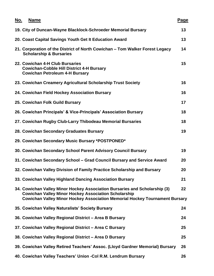| No. | <b>Name</b> |                                                                                                                                                                                                                                 | <b>Page</b> |
|-----|-------------|---------------------------------------------------------------------------------------------------------------------------------------------------------------------------------------------------------------------------------|-------------|
|     |             | 19. City of Duncan-Wayne Blacklock-Schroeder Memorial Bursary                                                                                                                                                                   | 13          |
|     |             | 20. Coast Capital Savings Youth Get It Education Award                                                                                                                                                                          | 13          |
|     |             | 21. Corporation of the District of North Cowichan – Tom Walker Forest Legacy<br><b>Scholarship &amp; Bursaries</b>                                                                                                              | 14          |
|     |             | 22. Cowichan 4-H Club Bursaries<br><b>Cowichan-Cobble Hill District 4-H Bursary</b><br><b>Cowichan Petroleum 4-H Bursary</b>                                                                                                    | 15          |
|     |             | 23. Cowichan Creamery Agricultural Scholarship Trust Society                                                                                                                                                                    | 16          |
|     |             | 24. Cowichan Field Hockey Association Bursary                                                                                                                                                                                   | 16          |
|     |             | 25. Cowichan Folk Guild Bursary                                                                                                                                                                                                 | 17          |
|     |             | 26. Cowichan Principals' & Vice-Principals' Association Bursary                                                                                                                                                                 | 18          |
|     |             | 27. Cowichan Rugby Club-Larry Thibodeau Memorial Bursaries                                                                                                                                                                      | 18          |
|     |             | 28. Cowichan Secondary Graduates Bursary                                                                                                                                                                                        | 19          |
|     |             | 29. Cowichan Secondary Music Bursary *POSTPONED*                                                                                                                                                                                |             |
|     |             | 30. Cowichan Secondary School Parent Advisory Council Bursary                                                                                                                                                                   | 19          |
|     |             | 31. Cowichan Secondary School - Grad Council Bursary and Service Award                                                                                                                                                          | 20          |
|     |             | 32. Cowichan Valley Division of Family Practice Scholarship and Bursary                                                                                                                                                         | 20          |
|     |             | 33. Cowichan Valley Highland Dancing Association Bursary                                                                                                                                                                        | 21          |
|     |             | 34. Cowichan Valley Minor Hockey Association Bursaries and Scholarship (3)<br><b>Cowichan Valley Minor Hockey Association Scholarship</b><br><b>Cowichan Valley Minor Hockey Association Memorial Hockey Tournament Bursary</b> | 22          |
|     |             | 35. Cowichan Valley Naturalists' Society Bursary                                                                                                                                                                                | 24          |
|     |             | 36. Cowichan Valley Regional District - Area B Bursary                                                                                                                                                                          | 24          |
|     |             | 37. Cowichan Valley Regional District - Area C Bursary                                                                                                                                                                          | 25          |
|     |             | 38. Cowichan Valley Regional District - Area D Bursary                                                                                                                                                                          | 25          |
|     |             | 39. Cowichan Valley Retired Teachers' Assoc. (Lloyd Gardner Memorial) Bursary                                                                                                                                                   | 26          |
|     |             | 40. Cowichan Valley Teachers' Union - Col R.M. Lendrum Bursary                                                                                                                                                                  | 26          |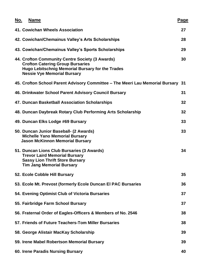| No. | <b>Name</b>                                                                                                                                                                          | Page |
|-----|--------------------------------------------------------------------------------------------------------------------------------------------------------------------------------------|------|
|     | 41. Cowichan Wheels Association                                                                                                                                                      | 27   |
|     | 42. Cowichan/Chemainus Valley's Arts Scholarships                                                                                                                                    | 28   |
|     | 43. Cowichan/Chemainus Valley's Sports Scholarships                                                                                                                                  | 29   |
|     | 44. Crofton Community Centre Society (3 Awards)<br><b>Crofton Catering Group Bursaries</b><br>Hugo Lebitschnig Memorial Bursary for the Trades<br><b>Nessie Vye Memorial Bursary</b> | 30   |
|     | 45. Crofton School Parent Advisory Committee - The Meeri Lau Memorial Bursary 31                                                                                                     |      |
|     | 46. Drinkwater School Parent Advisory Council Bursary                                                                                                                                | 31   |
|     | 47. Duncan Basketball Association Scholarships                                                                                                                                       | 32   |
|     | 48. Duncan Daybreak Rotary Club Performing Arts Scholarship                                                                                                                          | 32   |
|     | 49. Duncan Elks Lodge #69 Bursary                                                                                                                                                    | 33   |
|     | 50. Duncan Junior Baseball- (2 Awards)<br><b>Michelle Yano Memorial Bursary</b><br><b>Jason McKinnon Memorial Bursary</b>                                                            | 33   |
|     | 51. Duncan Lions Club Bursaries (3 Awards)<br><b>Trevor Laird Memorial Bursary</b><br><b>Sassy Lion Thrift Store Bursary</b><br><b>Tim Jang Memorial Bursary</b>                     | 34   |
|     | 52. Ecole Cobble Hill Bursary                                                                                                                                                        | 35   |
|     | 53. Ecole Mt. Prevost (formerly Ecole Duncan El PAC Bursaries                                                                                                                        | 36   |
|     | 54. Evening Optimist Club of Victoria Bursaries                                                                                                                                      | 37   |
|     | 55. Fairbridge Farm School Bursary                                                                                                                                                   | 37   |
|     | 56. Fraternal Order of Eagles-Officers & Members of No. 2546                                                                                                                         | 38   |
|     | 57. Friends of Future Teachers-Tom Miller Bursaries                                                                                                                                  | 38   |
|     | 58. George Alistair MacKay Scholarship                                                                                                                                               | 39   |
|     | 59. Irene Mabel Robertson Memorial Bursary                                                                                                                                           | 39   |
|     | 60. Irene Paradis Nursing Bursary                                                                                                                                                    | 40   |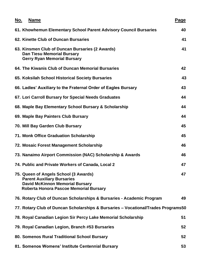| <u>No.</u> | <b>Name</b>                                                                                                                                                    | Page |
|------------|----------------------------------------------------------------------------------------------------------------------------------------------------------------|------|
|            | 61. Khowhemun Elementary School Parent Advisory Council Bursaries                                                                                              | 40   |
|            | 62. Kinette Club of Duncan Bursaries                                                                                                                           | 41   |
|            | 63. Kinsmen Club of Duncan Bursaries (2 Awards)<br><b>Dan Tiesu Memorial Bursary</b><br><b>Gerry Ryan Memorial Bursary</b>                                     | 41   |
|            | 64. The Kiwanis Club of Duncan Memorial Bursaries                                                                                                              | 42   |
|            | 65. Koksilah School Historical Society Bursaries                                                                                                               | 43   |
|            | 66. Ladies' Auxiliary to the Fraternal Order of Eagles Bursary                                                                                                 | 43   |
|            | 67. Lori Carroll Bursary for Special Needs Graduates                                                                                                           | 44   |
|            | 68. Maple Bay Elementary School Bursary & Scholarship                                                                                                          | 44   |
|            | 69. Maple Bay Painters Club Bursary                                                                                                                            | 44   |
|            | 70. Mill Bay Garden Club Bursary                                                                                                                               | 45   |
|            | 71. Monk Office Graduation Scholarship                                                                                                                         | 45   |
|            | 72. Mosaic Forest Management Scholarship                                                                                                                       | 46   |
|            | 73. Nanaimo Airport Commission (NAC) Scholarship & Awards                                                                                                      | 46   |
|            | 74. Public and Private Workers of Canada, Local 2                                                                                                              | 47   |
|            | 75. Queen of Angels School (3 Awards)<br><b>Parent Auxiliary Bursaries</b><br><b>David McKinnon Memorial Bursary</b><br>Roberta Honora Pascoe Memorial Bursary | 47   |
|            | 76. Rotary Club of Duncan Scholarships & Bursaries - Academic Program                                                                                          | 49   |
|            | 77. Rotary Club of Duncan Scholarships & Bursaries - Vocational/Trades Programs50                                                                              |      |
|            | 78. Royal Canadian Legion Sir Percy Lake Memorial Scholarship                                                                                                  | 51   |
|            | 79. Royal Canadian Legion, Branch #53 Bursaries                                                                                                                | 52   |
|            | 80. Somenos Rural Traditional School Bursary                                                                                                                   | 52   |
|            | 81. Somenos Womens' Institute Centennial Bursary                                                                                                               | 53   |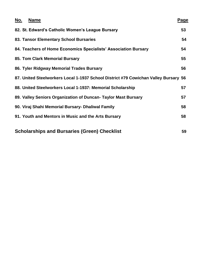| <u>No.</u> | <b>Name</b>                                                                         | <u>Page</u> |
|------------|-------------------------------------------------------------------------------------|-------------|
|            | 82. St. Edward's Catholic Women's League Bursary                                    | 53          |
|            | 83. Tansor Elementary School Bursaries                                              | 54          |
|            | 84. Teachers of Home Economics Specialists' Association Bursary                     | 54          |
|            | 85. Tom Clark Memorial Bursary                                                      | 55          |
|            | 86. Tyler Ridgway Memorial Trades Bursary                                           | 56          |
|            | 87. United Steelworkers Local 1-1937 School District #79 Cowichan Valley Bursary 56 |             |
|            | 88. United Steelworkers Local 1-1937: Memorial Scholarship                          | 57          |
|            | 89. Valley Seniors Organization of Duncan- Taylor Mast Bursary                      | 57          |
|            | 90. Viraj Shahi Memorial Bursary- Dhaliwal Family                                   | 58          |
|            | 91. Youth and Mentors in Music and the Arts Bursary                                 | 58          |
|            | <b>Scholarships and Bursaries (Green) Checklist</b>                                 | 59          |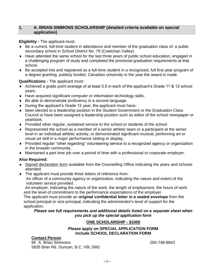### **1. A. BRIAN SIMMONS SCHOLARSHIP (detailed criteria available on special application)**

### **Eligibility -** The applicant must:

- Be a current, full-time student in attendance and member of the graduation class of, a public secondary school in School District No. 79 (Cowichan Valley).
- Have attended the same school for the last three years of public school education, engaged in a challenging program of study and completed the provincial graduation requirements at that school.
- Be accepted into and registered as a full-time student in a recognized, full first-year program of a degree granting, publicly funded, Canadian university in the year the award is made.

### **Qualifications -** The applicant must:

- Achieved a grade point average of at least 3.5 in each of the applicant's Grade 11 & 12 school years.
- Have acquired significant computer or information technology skills.
- Be able to demonstrate proficiency in a second language.
- During the applicant's Grade 12 year, the applicant must have:
- been elected to a leadership position in the Student Government or the Graduation Class Council or have been assigned a leadership position such as editor of the school newspaper or yearbook.
- Provided other regular, sustained service to the school or students of the school
- Represented the school as a member of a senior athletic team or a participant at the senior level in an individual athletic activity, or demonstrated significant musical, performing art or visual art skill in a major performance setting or display.
- Provided regular "other regarding" volunteering service to a recognized agency or organization in the broader community.
- Maintained a part time job over a period of time with a professional or corporate employer.

### **Also Required:**

- Signed declaration form available from the Counselling Office indicating the years and schools attended.
- The applicant must provide three letters of reference from:
	- An officer of a community agency or organization, indicating the nature and extent of the volunteer service provided.

An employer, indicating the nature of the work, the length of employment, the hours of work and the level of commitment to the performance expectations of the employer.

The applicant must provide an **original confidential letter in a sealed envelope** from the school principal or vice-principal, indicating the administrator's level of support for the application.

*Please see full requirements and additional details listed on a separate sheet when you pick up the special application form*

### **ONE SCHOLARSHIP - \$1000**

### **Please apply on SPECIAL APPLICATION FORM Include SCHOOL DECLARATION FORM**

### **Contact Person**

Mr. A. Brian Simmons 250-748-8843 5835 Brier Rd. Duncan, B.C. V9L 5W1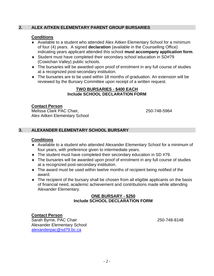### **2. ALEX AITKEN ELEMENTARY PARENT GROUP BURSARIES**

### **Conditions**

- Available to a student who attended Alex Aitken Elementary School for a minimum of four (4) years. A signed **declaration** (available in the Counselling Office) indicating years applicant attended this school **must accompany application form**.
- Student must have completed their secondary school education in SD#79 (Cowichan Valley) public schools.
- The bursaries will be awarded upon proof of enrolment in any full course of studies at a recognized post-secondary institution.
- The bursaries are to be used within 18 months of graduation. An extension will be reviewed by the Bursary Committee upon receipt of a written request.

### **TWO BURSARIES - \$400 EACH Include SCHOOL DECLARATION FORM**

### **Contact Person**

Melissa Clark PAC Chair, 250-748-5964 Alex Aitken Elementary School

### **3. ALEXANDER ELEMENTARY SCHOOL BURSARY**

### **Conditions**

- Available to a student who attended Alexander Elementary School for a minimum of four years, with preference given to intermediate years.
- ◆ The student must have completed their secondary education in SD #79.
- The bursaries will be awarded upon proof of enrolment in any full course of studies at a recognized post-secondary institution.
- The award must be used within twelve months of recipient being notified of the award.
- The recipient of the bursary shall be chosen from all eligible applicants on the basis of financial need, academic achievement and contributions made while attending Alexander Elementary.

### **ONE BURSARY - \$250 Include SCHOOL DECLARATION FORM**

### **Contact Person**

Sarah Byrne, PAC Chair 250-748-8148 Alexander Elementary School [alexanderpac@sd79.bc.ca](mailto:alexanderpac@sd79.bc.ca)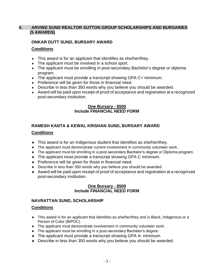### **4. ARVIND SUND REALTOR SUTTON GROUP SCHOLARSHIPS AND BURSARIES (5 AWARDS)**

### **ONKAR DUTT SUND, BURSARY AWARD**

### **Conditions**

- This award is for an applicant that identifies as she/her/they.
- The applicant must be involved in a school sport.
- The applicant must be enrolling in post-secondary Bachelor's degree or diploma program.
- ◆ The applicant must provide a transcript showing GPA C+ minimum.
- Preference will be given for those in financial need.
- Describe in less than 350 words why you believe you should be awarded.
- Award will be paid upon receipt of proof of acceptance and registration at a recognized post-secondary institution.

### **One Bursary - \$500 Include FINANCIAL NEED FORM**

### **RAMESH KANTA & KEWAL KRISHAN SUND, BURSARY AWARD**

### **Conditions**

- This award is for an Indigenous student that identifies as she/her/they.
- The applicant must demonstrate current involvement in community volunteer work.
- The applicant must be enrolling in a post-secondary Bachelor's degree or Diploma program.
- The applicant must provide a transcript showing GPA C minimum.
- **Preference will be given for those in financial need.**
- Describe in less than 350 words why you believe you should be awarded.
- Award will be paid upon receipt of proof of acceptance and registration at a recognized post-secondary institution.

### **One Bursary - \$500 Include FINANCIAL NEED FORM**

### **NAVRATTAN SUND, SCHOLARSHIP**

### **Conditions**

- This award is for an applicant that identifies as she/her/they and is Black, Indigenous or a Person of Color (BIPOC).
- The applicant must demonstrate involvement in community volunteer work.
- The applicant must be enrolling in a post-secondary Bachelor's degree.
- The applicant must provide a transcript showing GPA A- minimum.
- Describe in less than 350 words why you believe you should be awarded.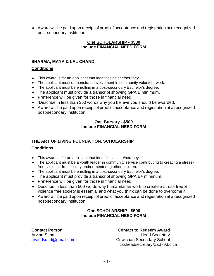Award will be paid upon receipt of proof of acceptance and registration at a recognized post-secondary institution.

### **One SCHOLARSHIP - \$500 Include FINANCIAL NEED FORM**

### **SHARMA, MAYA & LAL CHAND**

### **Conditions**

- This award is for an applicant that identifies as she/her/they.
- The applicant must demonstrate involvement in community volunteer work.
- The applicant must be enrolling in a post-secondary Bachelor's degree.
- The applicant must provide a transcript showing GPA B minimum.
- Preference will be given for those in financial need.
- Describe in less than 350 words why you believe you should be awarded.
- Award will be paid upon receipt of proof of acceptance and registration at a recognized post-secondary institution.

### **One Bursary - \$500 Include FINANCIAL NEED FORM**

### **THE ART OF LIVING FOUNDATION, SCHOLARSHIP**

### **Conditions**

- This award is for an applicant that identifies as she/her/they.
- The applicant must be a youth leader in community service contributing to creating a stressfree, violence-free society and/or mentoring other children.
- The applicant must be enrolling in a post-secondary Bachelor's degree.
- ◆ The applicant must provide a transcript showing GPA B+ minimum.
- $\bullet$  Preference will be given for those in financial need.
- Describe in less than 500 words why humanitarian work to create a stress-free & violence free society is essential and what you think can be done to overcome it.
- Award will be paid upon receipt of proof of acceptance and registration at a recognized post-secondary institution.

### **One SCHOLARSHIP - \$500 Include FINANCIAL NEED FORM**

### **Contact Person Contact to Redeem Award**

Arvind Sund **Arving Sund Arving Sund Arving Secretary** [arvindsund@gmail.com](mailto:arvindsund@gmail.com) Cowichan Secondary School cssheadsecretary@sd79.bc.ca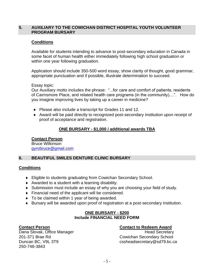### **5. AUXILIARY TO THE COWICHAN DISTRICT HOSPITAL YOUTH VOLUNTEER PROGRAM BURSARY**

### **Conditions**

Available for students intending to advance to post-secondary education in Canada in some facet of human health either immediately following high school graduation or within one year following graduation.

Application should include 350-500 word essay, show clarity of thought, good grammar, appropriate punctuation and if possible, illustrate determination to succeed.

### Essay topic:

Our Auxiliary motto includes the phrase: "...for care and comfort of patients, residents of Cairnsmore Place, and related health care programs (in the community)....". How do you imagine improving lives by taking up a career in medicine?

- ◆ Please also include a transcript for Grades 11 and 12.
- Award will be paid directly to recognized post-secondary institution upon receipt of proof of acceptance and registration.

### **ONE BURSARY - \$1,000 / additional awards TBA**

### **Contact Person**

Bruce Wilkinson [gyrobruce@gmail.com](mailto:gyrobruce@gmail.com)

### **6. BEAUTIFUL SMILES DENTURE CLINIC BURSARY**

### **Conditions**

- Eligible to students graduating from Cowichan Secondary School.
- Awarded to a student with a learning disability.
- Submission must include an essay of why you are choosing your field of study.
- Financial need of the applicant will be considered.
- ◆ To be claimed within 1 year of being awarded.
- Bursary will be awarded upon proof of registration at a post-secondary institution.

### **ONE BURSARY - \$200 Include FINANCIAL NEED FORM**

201-371 Brae Rd Cowichan Secondary School 250-748-3843

### **Contact Person Contact to Redeem Award**

Dana Slovak, Office Manager **Head Secretary Head Secretary** Duncan BC, V9L 3T9 cssheadsecretary@sd79.bc.ca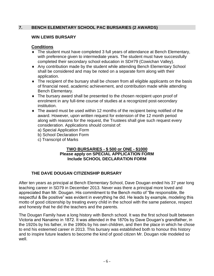### **7. BENCH ELEMENTARY SCHOOL PAC BURSARIES (2 AWARDS)**

### **WIN LEWIS BURSARY**

### **Conditions**

- The student must have completed 3 full years of attendance at Bench Elementary, with preference given to intermediate years. The student must have successfully completed their secondary school education in SD#79 (Cowichan Valley).
- Any contribution made by the student while attending Bench Elementary School shall be considered and may be noted on a separate form along with their application.
- The recipient of the bursary shall be chosen from all eligible applicants on the basis of financial need, academic achievement, and contribution made while attending Bench Elementary.
- The bursary award shall be presented to the chosen recipient upon proof of enrolment in any full-time course of studies at a recognized post-secondary institution.
- The award must be used within 12 months of the recipient being notified of the award. However, upon written request for extension of the 12 month period along with reasons for the request, the Trustees shall give such request every consideration. Applications should consist of:
	- a) Special Application Form
	- b) School Declaration Form
	- c) Transcript of Marks

### **TWO BURSARIES - \$ 500 or ONE - \$1000 Please apply on SPECIAL APPLICATION FORM Include SCHOOL DECLARATION FORM**

### **THE DAVE DOUGAN CITIZENSHIP BURSARY**

After ten years as principal at Bench Elementary School, Dave Dougan ended his 37 year long teaching career in SD79 in December 2013. Never was there a principal more loved and appreciated than Mr. Dougan. His commitment to the Bench motto of "Be responsible, Be respectful & Be positive" was evident in everything he did. He leads by example, modeling this motto of good citizenship by treating every child in the school with the same patience, respect and honesty that he did the teachers and the parents.

The Dougan Family have a long history with Bench school. It was the first school built between Victoria and Nanaimo in 1872. It was attended in the 1870s by Dave Dougan's grandfather, in the 1920s by his father, in the 1990s by his own children, and then the place in which he chose to end his esteemed career in 2013. This bursary was established both to honour this history and to inspire future leaders to become the kind of good citizen Mr. Dougan role modeled so well.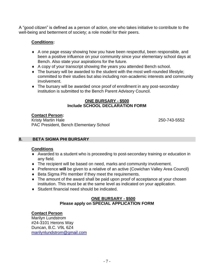A "good citizen" is defined as a person of action, one who takes initiative to contribute to the well-being and betterment of society; a role model for their peers.

### **Conditions:**

- A one page essay showing how you have been respectful, been responsible, and been a positive influence on your community since your elementary school days at Bench. Also state your aspirations for the future.
- A copy of your transcript showing the years you attended Bench school.
- The bursary will be awarded to the student with the most well-rounded lifestyle; committed to their studies but also including non-academic interests and community involvement.
- The bursary will be awarded once proof of enrollment in any post-secondary institution is submitted to the Bench Parent Advisory Council.

### **ONE BURSARY - \$500 Include SCHOOL DECLARATION FORM**

### **Contact Person:**

Kristy Martin Hale 250-743-5552 PAC President, Bench Elementary School

### **8. BETA SIGMA PHI BURSARY**

### **Conditions**

- Awarded to a student who is proceeding to post-secondary training or education in any field.
- The recipient will be based on need, marks and community involvement.
- Preference **will** be given to a relative of an active (Cowichan Valley Area Council)
- ◆ Beta Sigma Phi member if they meet the requirements.
- The amount of the award shall be paid upon proof of acceptance at your chosen institution. This must be at the same level as indicated on your application.
- ◆ Student financial need should be indicated.

### **ONE BURSARY - \$500 Please apply on SPECIAL APPLICATION FORM**

### **Contact Person**

Marilyn Lundstrom #24-3101 Herons Way Duncan, B.C. V9L 6Z4 [marilynlundstrom@gmail.com](mailto:marilynlundstrom@gmail.com)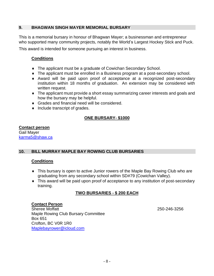### **9. BHAGWAN SINGH MAYER MEMORIAL BURSARY**

This is a memorial bursary in honour of Bhagwan Mayer; a businessman and entrepreneur who supported many community projects, notably the World's Largest Hockey Stick and Puck.

This award is intended for someone pursuing an interest in business.

### **Conditions**

- The applicant must be a graduate of Cowichan Secondary School.
- The applicant must be enrolled in a Business program at a post-secondary school.
- Award will be paid upon proof of acceptance at a recognized post-secondary institution within 18 months of graduation. An extension may be considered with written request.
- The applicant must provide a short essay summarizing career interests and goals and how the bursary may be helpful.
- ◆ Grades and financial need will be considered.
- $\bullet$  Include transcript of grades.

### **ONE BURSARY- \$1000**

### **Contact person**

Gail Mayer [karma5@shaw.ca](mailto:karma5@shaw.ca)

### **10. BILL MURRAY MAPLE BAY ROWING CLUB BURSARIES**

### **Conditions**

- This bursary is open to active Junior rowers of the Maple Bay Rowing Club who are graduating from any secondary school within SD#79 (Cowichan Valley).
- This award will be paid upon proof of acceptance to any institution of post-secondary training.

### **TWO BURSARIES - \$ 200 EACH**

### **Contact Person**

Sheree Moffatt 250-246-3256 Maple Rowing Club Bursary Committee Box 651 Crofton, BC V0R 1R0 [Maplebayrower@icloud.com](mailto:Maplebayrower@icloud.com)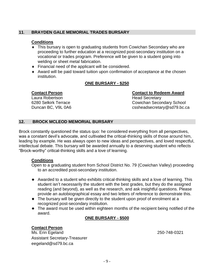### **11**. **BRAYDEN GALE MEMORIAL TRADES BURSARY**

### **Conditions**

- This bursary is open to graduating students from Cowichan Secondary who are proceeding to further education at a recognized post-secondary institution on a vocational or trades program. Preference will be given to a student going into welding or sheet metal fabrication.
- Financial need of the applicant will be considered.
- Award will be paid toward tuition upon confirmation of acceptance at the chosen institution.

### **ONE BURSARY - \$250**

Laura Robertson **Head Secretary** Duncan BC, V9L 0A6 cssheadsecretary@sd79.bc.ca

## **Contact Person Contact to Redeem Award** 6280 Selkirk Terrace Cowichan Secondary School

### **12. BROCK MCLEOD MEMORIAL BURSARY**

Brock constantly questioned the status quo: he considered everything from all perspectives, was a constant devil's advocate, and cultivated the critical-thinking skills of those around him, leading by example. He was always open to new ideas and perspectives, and loved respectful, intellectual debate. This bursary will be awarded annually to a deserving student who reflects "Brock-worthy" critical-thinking skills and a love of learning.

### **Conditions**

Open to a graduating student from School District No. 79 (Cowichan Valley) proceeding to an accredited post-secondary institution.

- Awarded to a student who exhibits critical-thinking skills and a love of learning. This student isn't necessarily the student with the best grades, but they do the assigned reading (and beyond), as well as the research, and ask insightful questions. Please provide an autobiographical essay and two letters of reference to demonstrate this.
- The bursary will be given directly to the student upon proof of enrolment at a recognized post-secondary institution.
- The award must be used within eighteen months of the recipient being notified of the award.

### **ONE BURSARY - \$500**

### **Contact Person**

Ms. Erin Egeland 250-748-0321 Assistant Secretary-Treasurer eegeland@sd79.bc.ca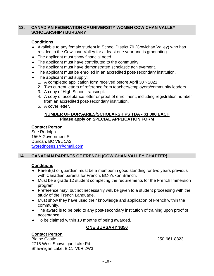### **13. CANADIAN FEDERATION OF UNIVERSITY WOMEN COWICHAN VALLEY SCHOLARSHIP / BURSARY**

### **Conditions**

- Available to any female student in School District 79 (Cowichan Valley) who has resided in the Cowichan Valley for at least one year and is graduating.
- The applicant must show financial need.
- The applicant must have contributed to the community.
- The applicant must have demonstrated scholastic achievement.
- The applicant must be enrolled in an accredited post-secondary institution.
- The applicant must supply:
	- 1. A completed application form received before April 30<sup>th,</sup> 2021.
	- 2. Two current letters of reference from teachers/employers/community leaders.
	- 3. A copy of High School transcript.
	- 4. A copy of acceptance letter or proof of enrollment, including registration number from an accredited post-secondary institution.
	- 5. A cover letter.

### **NUMBER OF BURSARIES/SCHOLARSHIPS TBA - \$1,000 EACH Please apply on SPECIAL APPLICATION FORM**

### **Contact Person**

Sue Rudolph 156A Government St Duncan, BC V9L 1A2 [tworednoses.sr@gmail.com](mailto:tworednoses.sr@gmail.com)

### **14 CANADIAN PARENTS OF FRENCH (COWICHAN VALLEY CHAPTER)**

### **Conditions**

- ◆ Parent(s) or guardian must be a member in good standing for two years previous with Canadian parents for French, BC-Yukon Branch.
- Must be a grade 12 student completing the requirements for the French Immersion program.
- Preference may, but not necessarily will, be given to a student proceeding with the study of the French Language.
- Must show they have used their knowledge and application of French within the community.
- The award is to be paid to any post-secondary institution of training upon proof of acceptance.
- ◆ To be claimed within 18 months of being awarded.

### **ONE BURSARY \$350**

### **Contact Person**

Blaine Castle 250-661-8823 2715 West Shawnigan Lake Rd. Shawnigan Lake, B.C. V0R 2W3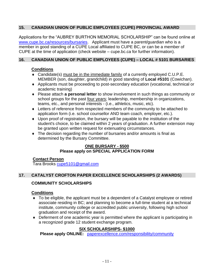### **15. CANADIAN UNION OF PUBLIC EMPLOYEES (CUPE) PROVINCIAL AWARD**

Applications for the "AUBREY BURTHON MEMORIAL SCHOLARSHIP" can be found online at [www.cupe.bc.ca/resources/bursaries.](http://www.cupe.bc.ca/resources/bursaries) Applicant must have a parent/guardian who is a member in good standing of a CUPE Local affiliated to CUPE BC, or can be a member of CUPE at the time of application (check website – cupe.bc.ca for further information).

### **16. CANADIAN UNION OF PUBLIC EMPLOYEES (CUPE) – LOCAL # 5101 BURSARIES**

### **Conditions**

- Candidate(s) must be in the immediate family of a currently employed C.U.P.E. MEMBER (son, daughter, grandchild) in good standing of **Local #5101** (Cowichan).
- Applicants must be proceeding to post-secondary education (vocational, technical or academic training)
- Please attach **a personal letter** to show involvement in such things as community or school groups for the past four years; leadership, membership in organizations, teams, etc., and personal interests - (i.e., athletics, music, etc).
- Letters of reference from respected members of the community to be attached to application form (i.e. school counsellor AND team coach, employer, etc.).
- Upon proof of registration, the bursary will be payable to the institution of the student's choice, to be claimed within 2 years of graduation. A further extension may be granted upon written request for extenuating circumstances.
- The decision regarding the number of bursaries and/or amounts is final as determined by the Bursary Committee.

### **ONE BURSARY - \$500 Please apply on SPECIAL APPLICATION FORM**

### **Contact Person**

Tara Brooks [cupe5101@gmail.com](mailto:cupe5101@gmail.com)

### **17. CATALYST CROFTON PAPER EXCELLENCE SCHOLARSHIPS (2 AWARDS)**

### **COMMUNITY SCHOLARSHIPS**

### **Conditions**

- To be eligible, the applicant must be a dependent of a Catalyst employee or retired associate residing in BC; and planning to become a full-time student at a technical institute, community college or accredited public university, following high school graduation and receipt of the award.
- Deferment of one academic year is permitted where the applicant is participating in a recognized grade 12 student exchange program.

### **SIX SCHOLARSHIPS- \$1000**

**Please apply ONLINE:** [paperexcellence.com/responsibility/community](https://paperexcellence.com/responsibility/community/)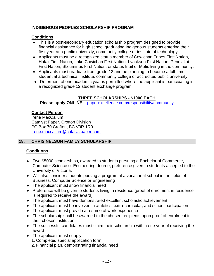### **INDIGENOUS PEOPLES SCHOLARSHIP PROGRAM**

### **Conditions**

- This is a post-secondary education scholarship program designed to provide financial assistance for high school graduating Indigenous students entering their first year at a public university, community college or institute of technology.
- Applicants must be a recognized status member of Cowichan Tribes First Nation, Halalt First Nation, Lake Cowichan First Nation, Lyackson First Nation, Penelakut First Nation, Stz'uminus First Nation, or status Inuit or Metis living in the community.
- Applicants must graduate from grade 12 and be planning to become a full-time student at a technical institute, community college or accredited public university.
- Deferment of one academic year is permitted where the applicant is participating in a recognized grade 12 student exchange program.

### **THREE SCHOLARSHIPS - \$1000 EACH**

**Please apply ONLINE:** [paperexcellence.com/responsibility/community](https://paperexcellence.com/responsibility/community/)

### **Contact Person**

Irene MacCallum Catalyst Paper, Crofton Division PO Box 70 Crofton, BC V0R 1R0 [Irene.maccallum@catalystpaper.com](mailto:Irene.maccallum@catalystpaper.com)

### **18. CHRIS NELSON FAMILY SCHOLARSHIP**

### **Conditions**

- Two \$5000 scholarships, awarded to students pursuing a Bachelor of Commerce, Computer Science or Engineering degree, preference given to students accepted to the University of Victoria.
- Will also consider students pursing a program at a vocational school in the fields of Business, Computer Science or Engineering
- $\bullet$  The applicant must show financial need
- Preference will be given to students living in residence (proof of enrolment in residence is required to receive the award)
- The applicant must have demonstrated excellent scholastic achievement
- The applicant must be involved in athletics, extra-curricular, and school participation
- The applicant must provide a resume of work experience
- The scholarship shall be awarded to the chosen recipients upon proof of enrolment in their chosen institution
- The successful candidates must claim their scholarship within one year of receiving the award
- The applicant must supply:
	- 1. Completed special application form
	- 2. Financial plan, demonstrating financial need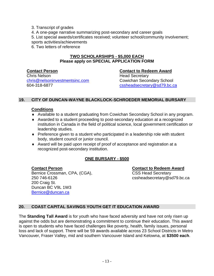3. Transcript of grades 4. A one-page narrative summarizing post-secondary and career goals 5. List special awards/certificates received; volunteer school/community involvement; sports activities/achievements 6. Two letters of reference

### **TWO SCHOLARSHIPS - \$5,000 EACH Please apply on SPECIAL APPLICATION FORM**

### **Contact Person Contact to Redeem Award** Chris Nelson **Head Secretary** [chris@nelsoninvestmentsinc.com](mailto:chris@nelsoninvestmentsinc.com) Cowichan Secondary School

604-318-6877 [cssheadsecretary@sd79.bc.ca](mailto:cssheadsecretary@sd79.bc.ca)

### **19. CITY OF DUNCAN-WAYNE BLACKLOCK-SCHROEDER MEMORIAL BURSARY**

### **Conditions**

- Available to a student graduating from Cowichan Secondary School in any program.
- Awarded to a student proceeding to post-secondary education at a recognized institution in Canada in the field of political science, local government certification or leadership studies.
- ◆ Preference given to a student who participated in a leadership role with student body, student council or junior council.
- Award will be paid upon receipt of proof of acceptance and registration at a recognized post-secondary institution.

### **ONE BURSARY - \$500**

Bernice Crossman, CPA, (CGA), CSS Head Secretary 250 746-6126 cssheadsecretary@sd79.bc.ca 200 Craig St. Duncan BC V9L 1W3 [Bernice@duncan.ca](mailto:Bernice@duncan.ca)

**Contact Person Contact to Redeem Award**

### **20. COAST CAPITAL SAVINGS YOUTH GET IT EDUCATION AWARD**

The **Standing Tall Award** is for youth who have faced adversity and have not only risen up against the odds but are demonstrating a commitment to continue their education. This award is open to students who have faced challenges like poverty, health, family issues, personal loss and lack of support. There will be 59 awards available across 23 School Districts in Metro Vancouver, Fraser Valley, mid and southern Vancouver Island and Kelowna, at **\$3500 each**.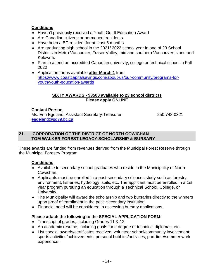### **Conditions**

- Haven't previously received a Youth Get It Education Award
- ◆ Are Canadian citizens or permanent residents
- ◆ Have been a BC resident for at least 6 months
- Are graduating high school in the 2021/ 2022 school year in one of 23 School Districts in Metro Vancouver, Fraser Valley, mid and southern Vancouver Island and Kelowna.
- Plan to attend an accredited Canadian university, college or technical school in Fall 2022
- Application forms available **after March 1** from: [https://www.coastcapitalsavings.com/about-us/our-community/programs-for](https://www.coastcapitalsavings.com/about-us/our-community/programs-for-youth/youth-education-awards)[youth/youth-education-awards](https://www.coastcapitalsavings.com/about-us/our-community/programs-for-youth/youth-education-awards)

### **SIXTY AWARDS - \$3500 available to 23 school districts Please apply ONLINE**

### **Contact Person**

Ms. Erin Egeland, Assistant Secretary-Treasurer 250 748-0321 [eegeland@sd79.bc.ca](mailto:kblow@sd79.bc.ca)

### **21. CORPORATION OF THE DISTRICT OF NORTH COWICHAN TOM WALKER FOREST LEGACY SCHOLARSHIP & BURSARY**

These awards are funded from revenues derived from the Municipal Forest Reserve through the Municipal Forestry Program.

### **Conditions**

- Available to secondary school graduates who reside in the Municipality of North Cowichan.
- Applicants must be enrolled in a post-secondary sciences study such as forestry, environment, fisheries, hydrology, soils, etc. The applicant must be enrolled in a 1st year program pursuing an education through a Technical School, College, or University.
- The Municipality will award the scholarship and two bursaries directly to the winners upon proof of enrollment in the post- secondary institution.
- Financial need will be considered in assessing bursary applications.

### **Please attach the following to the SPECIAL APPLICATION FORM:**

- Transcript of grades, including Grades 11 & 12
- An academic resume, including goals for a degree or technical diplomas, etc.
- List special awards/certificates received; volunteer school/community involvement; sports activities/achievements; personal hobbies/activities; part-time/summer work experience.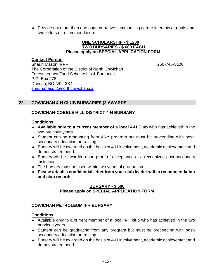Provide not more than one page narrative summarizing career interests or goals and two letters of recommendation.

### **ONE SCHOLARSHIP - \$ 1200 TWO BURSARIES - \$ 600 EACH Please apply on SPECIAL APPLICATION FORM**

### **Contact Person**

Shaun Mason, RPF 250-746-3100 The Corporation of the District of North Cowichan Forest Legacy Fund Scholarship & Bursaries P.O. Box 278 Duncan, BC V9L 3X4 [shaun.mason@northcowichan.ca](mailto:shaun.mason@northcowichan.ca)

### **22. COWICHAN 4-H CLUB BURSARIES (2 AWARDS**

### **COWICHAN-COBBLE HILL DISTRICT 4-H BURSARY**

### **Conditions**

- **Available only to a current member of a local 4-H Club** who has achieved in the two previous years.
- Student can be graduating from ANY program but must be proceeding with postsecondary education or training.
- Bursary will be awarded on the basis of 4-H involvement, academic achievement and demonstrated need.
- Bursary will be awarded upon proof of acceptance at a recognized post-secondary institution.
- The bursary must be used within two years of graduation.
- **Please attach a confidential letter from your club leader with a recommendation and club records.**

### **BURSARY - \$ 500 Please apply on SPECIAL APPLICATION FORM**

### **COWICHAN PETROLEUM 4-H BURSARY**

### **Conditions**

- Available only to a current member of a local 4-H club who has achieved in the two previous years.
- Student can be graduating from any program but must be proceeding with postsecondary education or training.
- Bursary will be awarded on the basis of 4-H involvement, academic achievement and demonstrated need.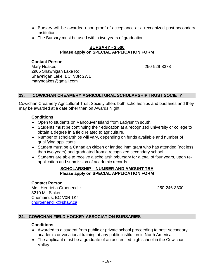- Bursary will be awarded upon proof of acceptance at a recognized post-secondary institution.
- The Bursary must be used within two years of graduation.

### **BURSARY - \$ 500 Please apply on SPECIAL APPLICATION FORM**

### **Contact Person**

Mary Noakes 250-929-8378 2905 Shawnigan Lake Rd Shawnigan Lake, BC V0R 2W1 marynoakes@gmail.com

### **23. COWICHAN CREAMERY AGRICULTURAL SCHOLARSHIP TRUST SOCIETY**

Cowichan Creamery Agricultural Trust Society offers both scholarships and bursaries and they may be awarded at a date other than on Awards Night.

### **Conditions**

- Open to students on Vancouver Island from Ladysmith south.
- Students must be continuing their education at a recognized university or college to obtain a degree in a field related to agriculture.
- Number of scholarships will vary, depending on funds available and number of qualifying applicants.
- Student must be a Canadian citizen or landed immigrant who has attended (not less than two years) and graduated from a recognized secondary school.
- Students are able to receive a scholarship/bursary for a total of four years, upon reapplication and submission of academic records.

### **SCHOLARSHIP – NUMBER AND AMOUNT TBA Please apply on SPECIAL APPLICATION FORM**

### **Contact Person**

Mrs. Henrietta Groenendijk 250-246-3300 3210 Mt. Sicker Chemainus, BC V0R 1K4 [chgroenendijk@shaw.ca](mailto:chgroenendijk@shaw.ca)

### **24. COWICHAN FIELD HOCKEY ASSOCIATION BURSARIES**

### **Conditions**

- Awarded to a student from public or private school proceeding to post-secondary academic or vocational training at any public institution in North America.
- The applicant must be a graduate of an accredited high school in the Cowichan Valley.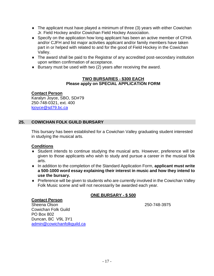- The applicant must have played a minimum of three (3) years with either Cowichan Jr. Field Hockey and/or Cowichan Field Hockey Association.
- Specify on the application how long applicant has been an active member of CFHA and/or CJFH and list major activities applicant and/or family members have taken part in or helped with related to and for the good of Field Hockey in the Cowichan Valley.
- The award shall be paid to the Registrar of any accredited post-secondary institution upon written confirmation of acceptance.
- $\bullet$  Bursary must be used with two (2) years after receiving the award.

### **TWO BURSARIES - \$300 EACH Please apply on SPECIAL APPLICATION FORM**

### **Contact Person**

Karalyn Joyce, SBO, SD#79 250-748-0321, ext. 400 [kjoyce@sd79.bc.ca](mailto:kjoyce@sd79.bc.ca)

### **25. COWICHAN FOLK GUILD BURSARY**

This bursary has been established for a Cowichan Valley graduating student interested in studying the musical arts.

### **Conditions**

- Student intends to continue studying the musical arts. However, preference will be given to those applicants who wish to study and pursue a career in the musical folk arts.
- ◆ In addition to the completion of the Standard Application Form, **applicant must write a 500-1000 word essay explaining their interest in music and how they intend to use the bursary.**
- Preference will be given to students who are currently involved in the Cowichan Valley Folk Music scene and will not necessarily be awarded each year.

### **ONE BURSARY - \$ 500**

**Contact Person** Sheena Olson 250-748-3975 Cowichan Folk Guild PO Box 802 Duncan, BC V9L 3Y1 [admin@cowichanfolkguild.ca](mailto:admin@cowichanfolkguild.ca)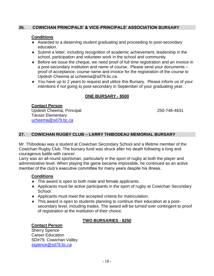### **26. COWICHAN PRINCIPALS' & VICE-PRINCIPALS' ASSOCIATION BURSARY**

### **Conditions**

- Awarded to a deserving student graduating and proceeding to post-secondary education.
- Submit a letter, including recognition of academic achievement, leadership in the school, participation and volunteer work in the school and community.
- Before we issue the cheque, we need proof of full time registration and an invoice in a post-secondary institution and name of course. Please send your documents – proof of acceptance, course name and invoice for the registration of the course to Updesh Cheema at ucheema@sd79.bc.ca.
- You have up to 2 years to request and utilize this Bursary. Please inform us of your intentions if not going to post-secondary in September of your graduating year.

### **ONE BURSARY - \$500**

### **Contact Person** Updesh Cheema, Principal 250-748-4631 Tansor Elementary [ucheema@sd79.bc.ca](mailto:ucheema@sd79.bc.ca)

### **27. COWICHAN RUGBY CLUB – LARRY THIBODEAU MEMORIAL BURSARY**

Mr. Thibodeau was a student at Cowichan Secondary School and a lifetime member of the Cowichan Rugby Club. The bursary fund was struck after his death following a long and courageous battle with cancer.

Larry was an all-round sportsman, particularly in the sport of rugby at both the player and administrative level. When playing the game became impossible, he continued as an active member of the club's executive committee for many years despite his illness.

### **Conditions**

- The award is open to both male and female applicants.
- Applicants must be active participants in the sport of rugby at Cowichan Secondary School.
- Applicants must meet the accepted criteria for matriculation.
- This award is open to students planning to continue their education at a postsecondary level, including trades. The award will be turned over contingent to proof of registration at the institution of their choice.

### **Contact Person**

### **TWO BURSARIES - \$250**

Sherry Spence Career Education SD#79, Cowichan Valley [sspence@sd79.bc.ca](mailto:sspence@sd79.bc.ca)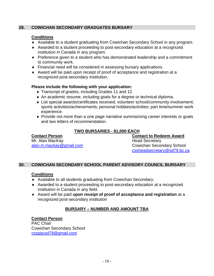### **28. COWICHAN SECONDARY GRADUATES BURSARY**

### **Conditions**

- Available to a student graduating from Cowichan Secondary School in any program.
- Awarded to a student proceeding to post-secondary education at a recognized institution in Canada in any program.
- Preference given to a student who has demonstrated leadership and a commitment to community work.
- Financial need will be considered in assessing bursary applications.
- Award will be paid upon receipt of proof of acceptance and registration at a recognized post-secondary institution.

### **Please include the following with your application:**

- Transcript of grades, including Grades 11 and 12.
- An academic resume, including goals for a degree or technical diploma.
- ◆ List special awards/certificates received: volunteer school/community involvement: sports activities/achievements; personal hobbies/activities; part time/summer work experience.
- Provide not more than a one page narrative summarizing career interests or goals and two letters of recommendation.

### **TWO BURSARIES - \$1,000 EACH**

**Contact Person Contact to Redeem Award** Mr. Alan MacKay **Head Secretary** 

[alan.m.mackay@gmail.com](mailto:alan.m.mackay@gmail.com) Cowichan Secondary School cssheadsecretary@sd79.bc.ca

### **30. COWICHAN SECONDARY SCHOOL PARENT ADVISORY COUNCIL BURSARY**

### **Conditions**

- Available to all students graduating from Cowichan Secondary.
- Awarded to a student proceeding to post-secondary education at a recognized institution in Canada in any field.
- Award will be paid **upon receipt of proof of acceptance and registration** at a recognized post-secondary institution

### **BURSARY – NUMBER AND AMOUNT TBA**

### **Contact Person**

PAC Chair Cowichan Secondary School csspacsd79@gmail.com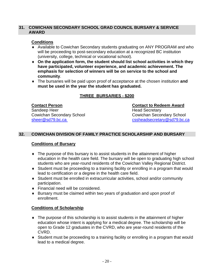### **31. COWICHAN SECONDARY SCHOOL GRAD COUNCIL BURSARY & SERVICE AWARD**

### **Conditions**

- Available to Cowichan Secondary students graduating on ANY PROGRAM and who will be proceeding to post-secondary education at a recognized BC institution (university, college, technical or vocational school).
- **On the application form, the student should list school activities in which they have participated, volunteer experience, and academic achievement. The emphasis for selection of winners will be on service to the school and community**.
- The bursaries will be paid upon proof of acceptance at the chosen institution **and must be used in the year the student has graduated.**

### **THREE BURSARIES - \$200**

Cowichan Secondary School

**Contact Person Contact to Redeem Award** Sandeep Heer Network Sandeep Head Secretary<br>
Cowichan Secondary School Network School Cowichan Secondary School [sheer@sd79.bc.ca](mailto:sheer@sd79.bc.ca) [cssheadsecretary@sd79.bc.ca](mailto:cssheadsecretary@sd79.bc.ca)

### **32. COWICHAN DIVISION OF FAMILY PRACTICE SCHOLARSHIP AND BURSARY**

### **Conditions of Bursary**

- The purpose of this bursary is to assist students in the attainment of higher education in the health care field. The bursary will be open to graduating high school students who are year-round residents of the Cowichan Valley Regional District.
- Student must be proceeding to a training facility or enrolling in a program that would lead to certification or a degree in the health care field.
- Student must be enrolled in extracurricular activities, school and/or community participation.
- ◆ Financial need will be considered.
- Bursary must be claimed within two years of graduation and upon proof of enrollment.

### **Conditions of Scholarship**

- The purpose of this scholarship is to assist students in the attainment of higher education whose intent is applying for a medical degree. The scholarship will be open to Grade 12 graduates in the CVRD, who are year-round residents of the CVRD.
- Student must be proceeding to a training facility or enrolling in a program that would lead to a medical degree.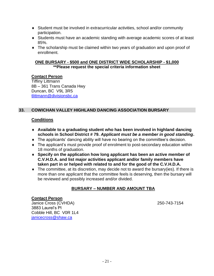- Student must be involved in extracurricular activities, school and/or community participation.
- Students must have an academic standing with average academic scores of at least 85%.
- The scholarship must be claimed within two years of graduation and upon proof of enrollment.

#### **ONE BURSARY - \$500 and ONE DISTRICT WIDE SCHOLARSHIP - \$1,000 \*\*Please request the special criteria information sheet**

#### **Contact Person**

Tiffiny Littmann 8B – 361 Trans Canada Hwy Duncan, BC V9L 3R5 [tlittmann@divisionsbc.ca](mailto:tlittmann@divisionsbc.ca)

## **33. COWICHAN VALLEY HIGHLAND DANCING ASSOCIATION BURSARY**

### **Conditions**

- **Available to a graduating student who has been involved in highland dancing schools in School District # 79.** *Applicant must be a member in good standing***.**
- The applicants' dancing ability will have no bearing on the committee's decision.
- The applicant's must provide proof of enrolment to post-secondary education within 18 months of graduation.
- **Specify on the application how long applicant has been an active member of C.V.H.D.A. and list major activities applicant and/or family members have taken part in or helped with related to and for the good of the C.V.H.D.A.**
- $\bullet$  The committee, at its discretion, may decide not to award the bursary(ies). If there is more than one applicant that the committee feels is deserving, then the bursary will be reviewed and possibly increased and/or divided.

### **BURSARY – NUMBER AND AMOUNT TBA**

### **Contact Person**

Janice Cross (CVHDA) 250-743-7154 3883 Laurel's Pl Cobble Hill, BC V0R 1L4 [janicecross@shaw.ca](mailto:janicecross@shaw.ca)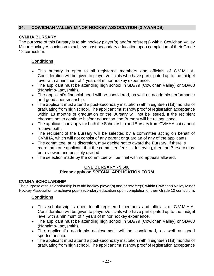## **34. COWICHAN VALLEY MINOR HOCKEY ASSOCIATION (3 AWARDS)**

## **CVMHA BURSARY**

The purpose of this Bursary is to aid hockey player(s) and/or referee(s) within Cowichan Valley Minor Hockey Association to achieve post-secondary education upon completion of their Grade 12 curriculum.

## **Conditions**

- This bursary is open to all registered members and officials of C.V.M.H.A. Consideration will be given to players/officials who have participated up to the midget level with a minimum of 4 years of minor hockey experience.
- The applicant must be attending high school in SD#79 (Cowichan Valley) or SD#68 (Nanaimo-Ladysmith).
- The applicant's financial need will be considered, as well as academic performance and good sportsmanship.
- The applicant must attend a post-secondary institution within eighteen (18) months of graduating from high school. The applicant must show proof of registration acceptance within 18 months of graduation or the Bursary will not be issued. If the recipient chooses not to continue his/her education, the Bursary will be relinquished.
- The applicant can apply for both the Scholarship and Bursary from CVMHA but cannot receive both.
- The recipient of the Bursary will be selected by a committee acting on behalf of CVMHA, which will not consist of any parent or guardian of any of the applicants.
- The committee, at its discretion, may decide not to award the Bursary. If there is more than one applicant that the committee feels is deserving, then the Bursary may be reviewed and possibly divided.
- The selection made by the committee will be final with no appeals allowed.

#### **ONE BURSARY - \$ 500 Please apply on SPECIAL APPLICATION FORM**

### **CVMHA SCHOLARSHIP**

The purpose of this Scholarship is to aid hockey player(s) and/or referee(s) within Cowichan Valley Minor Hockey Association to achieve post-secondary education upon completion of their Grade 12 curriculum.

- This scholarship is open to all registered members and officials of C.V.M.H.A. Consideration will be given to players/officials who have participated up to the midget level with a minimum of 4 years of minor hockey experience.
- The applicant must be attending high school in SD#79 (Cowichan Valley) or SD#68 (Nanaimo-Ladysmith).
- The applicant's academic achievement will be considered, as well as good sportsmanship.
- The applicant must attend a post-secondary institution within eighteen (18) months of graduating from high school. The applicant must show proof of registration acceptance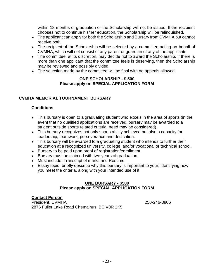within 18 months of graduation or the Scholarship will not be issued. If the recipient chooses not to continue his/her education, the Scholarship will be relinquished.

- The applicant can apply for both the Scholarship and Bursary from CVMHA but cannot receive both.
- The recipient of the Scholarship will be selected by a committee acting on behalf of CVMHA, which will not consist of any parent or guardian of any of the applicants.
- The committee, at its discretion, may decide not to award the Scholarship. If there is more than one applicant that the committee feels is deserving, then the Scholarship may be reviewed and possibly divided.
- The selection made by the committee will be final with no appeals allowed.

#### **ONE SCHOLARSHIP - \$ 500 Please apply on SPECIAL APPLICATION FORM**

### **CVMHA MEMORIAL TOURNAMENT BURSARY**

#### **Conditions**

- This bursary is open to a graduating student who excels in the area of sports (in the event that no qualified applications are received, bursary may be awarded to a student outside sports related criteria, need may be considered).
- This bursary recognizes not only sports ability achieved but also a capacity for leadership, teamwork, perseverance and dedication.
- This bursary will be awarded to a graduating student who intends to further their education at a recognized university, college, and/or vocational or technical school.
- Bursary to be paid upon proof of registration/enrollment.
- Bursary must be claimed with two years of graduation.
- Must include: Transcript of marks and Resume
- Essay topic- briefly describe why this bursary is important to your, identifying how you meet the criteria, along with your intended use of it.

## **ONE BURSARY - \$500 Please apply on SPECIAL APPLICATION FORM**

#### **Contact Person**

President, CVMHA 250-246-3906 2876 Fuller Lake Road Chemainus, BC V0R 1K5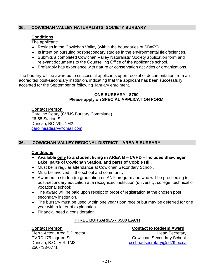## **35. COWICHAN VALLEY NATURALISTS' SOCIETY BURSARY**

## **Conditions**

The applicant:

- Resides in the Cowichan Valley (within the boundaries of SD#79).
- Is intent on pursuing post-secondary studies in the environmental field/sciences.
- Submits a completed Cowichan Valley Naturalists' Society application form and relevant documents to the Counselling Office of the applicant's school.
- Preferably has experience with nature or conservation activities or organizations.

The bursary will be awarded to successful applicants upon receipt of documentation from an accredited post-secondary institution, indicating that the applicant has been successfully accepted for the September or following January enrolment.

#### **ONE BURSARY - \$750 Please apply on SPECIAL APPLICATION FORM**

## **Contact Person**

Caroline Deary (CVNS Bursary Committee) #6-55 Station St Duncan, BC V9L 1M2 [carolineadeary@gmail.com](mailto:carolineadeary@gmail.com)

## **36. COWICHAN VALLEY REGIONAL DISTRICT – AREA B BURSARY**

### **Conditions**

- **Available only to a student living in AREA B – CVRD – Includes Shawnigan Lake, parts of Cowichan Station, and parts of Cobble Hill.**
- Must be in regular attendance at Cowichan Secondary School.
- Must be involved in the school and community.
- Awarded to student(s) graduating on ANY program and who will be proceeding to post-secondary education at a recognized institution (university, college, technical or vocational school).
- The award will be paid upon receipt of proof of registration at the chosen post secondary institution.
- The bursary must be used within one year upon receipt but may be deferred for one year with a letter of explanation.
- ◆ Financial need a consideration

## **THREE BURSARIES - \$500 EACH**

250-733-0771

## **Contact Person Contact to Redeem Award**

Sierra Acton, Area B Director **Head Secretary** Head Secretary CVRD 175 Ingram St. Cowichan Secondary School Duncan, B.C. V9L 1M8 [cssheadsecretary@sd79.bc.ca](mailto:cssheadsecretary@sd79.bc.ca)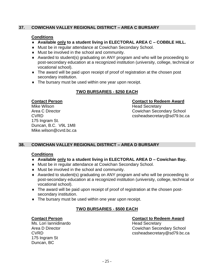## **37. COWICHAN VALLEY REGIONAL DISTRICT – AREA C BURSARY**

### **Conditions**

- **Available only to a student living in ELECTORAL AREA C – COBBLE HILL.**
- Must be in regular attendance at Cowichan Secondary School.
- Must be involved in the school and community.
- Awarded to student(s) graduating on ANY program and who will be proceeding to post-secondary education at a recognized institution (university, college, technical or vocational school).
- The award will be paid upon receipt of proof of registration at the chosen post secondary institution.
- The bursary must be used within one year upon receipt.

## **TWO BURSARIES - \$250 EACH**

Mike Wilson **Mike Wilson** Mike Wilson 175 Ingram St. Duncan, B.C. V9L 1M8 Mike.wilson@cvrd.bc.ca

#### **Contact Person Contact to Redeem Award**

Area C Director **Cowichan Secondary School** CVRD cssheadsecretary@sd79.bc.ca

## **38. COWICHAN VALLEY REGIONAL DISTRICT – AREA D BURSARY**

### **Conditions**

- **Available only to a student living in ELECTORAL AREA D – Cowichan Bay.**
- Must be in regular attendance at Cowichan Secondary School.
- Must be involved in the school and community.
- Awarded to student(s) graduating on ANY program and who will be proceeding to post-secondary education at a recognized institution (university, college, technical or vocational school).
- The award will be paid upon receipt of proof of registration at the chosen postsecondary institution.
- $\bullet$  The bursary must be used within one year upon receipt.

## **TWO BURSARIES - \$500 EACH**

Ms. Lori Iannidinardo **Head Secretary** 175 Ingram St Duncan, BC

### **Contact Person Contact to Redeem Award**

Area D Director **Cowichan Secondary School** CVRD cssheadsecretary@sd79.bc.ca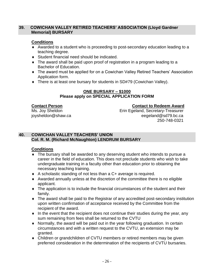#### **39. COWICHAN VALLEY RETIRED TEACHERS' ASSOCIATION (Lloyd Gardner Memorial) BURSARY**

## **Conditions**

- Awarded to a student who is proceeding to post-secondary education leading to a teaching degree.
- Student financial need should be indicated.
- The award shall be paid upon proof of registration in a program leading to a Bachelor of Education.
- The award must be applied for on a Cowichan Valley Retired Teachers' Association Application form.
- There is at least one bursary for students in SD#79 (Cowichan Valley).

### **ONE BURSARY – \$1000 Please apply on SPECIAL APPLICATION FORM**

## **Contact Person Contact to Redeem Award**

Ms. Joy Sheldon **Erin Egeland, Secretary-Treasurer** joysheldon@shaw.ca eegeland@sd79.bc.ca 250-748-0321

## **40. COWICHAN VALLEY TEACHERS' UNION Col. R. M. (Richard McNaughton) LENDRUM BURSARY**

- The bursary shall be awarded to any deserving student who intends to pursue a career in the field of education. This does not preclude students who wish to take undergraduate training in a faculty other than education prior to obtaining the necessary teaching training.
- A scholastic standing of not less than a C+ average is required.
- Awarded annually unless at the discretion of the committee there is no eligible applicant.
- The application is to include the financial circumstances of the student and their family.
- The award shall be paid to the Registrar of any accredited post-secondary institution upon written confirmation of acceptance received by the Committee from the recipient of the award.
- $\bullet$  In the event that the recipient does not continue their studies during the year, any sum remaining from fees shall be returned to the CVTU
- Normally, the award will be paid out in the year following graduation. In certain circumstances and with a written request to the CVTU, an extension may be granted.
- Children or grandchildren of CVTU members or retired members may be given preferred consideration in the determination of the recipients of CVTU bursaries.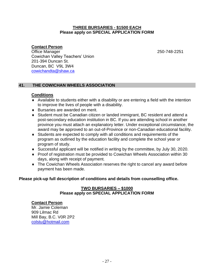#### **THREE BURSARIES - \$1500 EACH Please apply on SPECIAL APPLICATION FORM**

## **Contact Person**

Office Manager 250-748-2251 Cowichan Valley Teachers' Union 201-394 Duncan St. Duncan, BC V9L 3W4 [cowichandta@shaw.ca](mailto:cowichandta@shaw.ca)

### **41. THE COWICHAN WHEELS ASSOCIATION**

#### **Conditions**

- Available to students either with a disability or are entering a field with the intention to improve the lives of people with a disability.
- ◆ Bursaries are awarded on merit.
- Student must be Canadian citizen or landed immigrant, BC resident and attend a post-secondary education institution in BC. If you are attending school in another province you must attach an explanatory letter. Under exceptional circumstance, the award may be approved to an out-of-Province or non-Canadian educational facility.
- Students are expected to comply with all conditions and requirements of the program as outlined by the education facility and complete the school year or program of study.
- Successful applicant will be notified in writing by the committee, by July 30, 2020.
- Proof of registration must be provided to Cowichan Wheels Association within 30 days, along with receipt of payment.
- The Cowichan Wheels Association reserves the right to cancel any award before payment has been made.

#### **Please pick-up full description of conditions and details from counselling office.**

#### **TWO BURSARIES – \$1000 Please apply on SPECIAL APPLICATION FORM**

#### **Contact Person**

Mr. Jamie Coleman 909 Lilmac Rd Mill Bay, B.C. V0R 2P2 [colstu@hotmail.com](mailto:colstu@hotmail.com)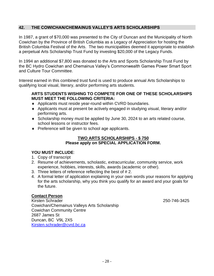### **42. THE COWICHAN/CHEMAINUS VALLEY'S ARTS SCHOLARSHIPS**

In 1987, a grant of \$70,000 was presented to the City of Duncan and the Municipality of North Cowichan by the Province of British Columbia as a Legacy of Appreciation for hosting the British Columbia Festival of the Arts. The two municipalities deemed it appropriate to establish a perpetual Arts Scholarship Trust Fund by investing \$20,000 of the Legacy Funds.

In 1994 an additional \$7,800 was donated to the Arts and Sports Scholarship Trust Fund by the BC Hydro Cowichan and Chemainus Valley's Commonwealth Games Power Smart Sport and Culture Tour Committee.

Interest earned in this combined trust fund is used to produce annual Arts Scholarships to qualifying local visual, literary, and/or performing arts students.

#### **ARTS STUDENTS WISHING TO COMPETE FOR ONE OF THESE SCHOLARSHIPS MUST MEET THE FOLLOWING CRITERIA:**

- Applicants must reside year-round within CVRD boundaries.
- Applicants must at present be actively engaged in studying visual, literary and/or performing arts.
- Scholarship money must be applied by June 30, 2024 to an arts related course, school lessons or instructor fees.
- Preference will be given to school age applicants.

#### **TWO ARTS SCHOLARSHIPS - \$ 750 Please apply on SPECIAL APPLICATION FORM.**

### **YOU MUST INCLUDE**:

- 1. Copy of transcript
- 2. Resume of achievements, scholastic, extracurricular, community service, work experience, hobbies, interests, skills, awards (academic or other).
- 3. Three letters of reference reflecting the best of # 2.
- 4. A formal letter of application explaining in your own words your reasons for applying for the arts scholarship, why you think you qualify for an award and your goals for the future.

### **Contact Person**

Kirsten Schrader 250-746-3425 Cowichan/Chemainus Valleys Arts Scholarship Cowichan Community Centre 2687 James St Duncan, BC V9L 2X5 [Kirsten.schrader@cvrd.bc.ca](mailto:Kirsten.schrader@cvrd.bc.ca)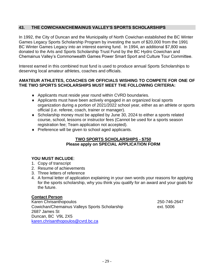## **43. THE COWICHAN/CHEMAINUS VALLEY'S SPORTS SCHOLARSHIPS**

In 1992, the City of Duncan and the Municipality of North Cowichan established the BC Winter Games Legacy Sports Scholarship Program by investing the sum of \$20,000 from the 1991 BC Winter Games Legacy into an interest earning fund. In 1994, an additional \$7,800 was donated to the Arts and Sports Scholarship Trust Fund by the BC Hydro Cowichan and Chemainus Valley's Commonwealth Games Power Smart Sport and Culture Tour Committee.

Interest earned in this combined trust fund is used to produce annual Sports Scholarships to deserving local amateur athletes, coaches and officials.

### **AMATEUR ATHLETES, COACHES OR OFFICIALS WISHING TO COMPETE FOR ONE OF THE TWO SPORTS SCHOLARSHIPS MUST MEET THE FOLLOWING CRITERIA:**

- Applicants must reside year round within CVRD boundaries.
- Applicants must have been actively engaged in an organized local sports organization during a portion of 2021/2022 school year, either as an athlete or sports official (i.e. referee, coach, trainer or manager).
- Scholarship money must be applied by June 30, 2024 to either a sports related course, school, lessons or instructor fees (Cannot be used for a sports season registration fee; Team application not accepted).
- Preference will be given to school aged applicants.

### **TWO SPORTS SCHOLARSHIPS - \$750 Please apply on SPECIAL APPLICATION FORM**

### **YOU MUST INCLUDE**:

- 1. Copy of transcript
- 2. Resume of achievements
- 3. Three letters of reference
- 4. A formal letter of application explaining in your own words your reasons for applying for the sports scholarship, why you think you qualify for an award and your goals for the future.

### **Contact Person**

Karen Chrisanthopoulos 250-746-2647 Cowichan/Chemainus Valleys Sports Scholarship ext. 5006 2687 James St Duncan, BC V9L 2X5 [karen.chrisanthopoulos@cvrd.bc.ca](mailto:karen.chrisanthopoulos@cvrd.bc.ca)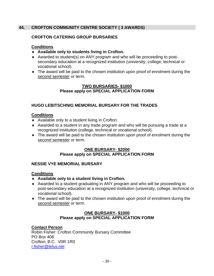## **44. CROFTON COMMUNITY CENTRE SOCIETY ( 3 AWARDS)**

## **CROFTON CATERING GROUP BURSARIES**

#### **Conditions**

- **Available only to students living in Crofton.**
- Awarded to student(s) on ANY program and who will be proceeding to postsecondary education at a recognized institution (university, college, technical or vocational school).
- The award will be paid to the chosen institution upon proof of enrolment during the second semester or term.

#### **TWO BURSARIES- \$1000 Please apply on SPECIAL APPLICATION FORM**

### **HUGO LEBITSCHNIG MEMORIAL BURSARY FOR THE TRADES**

#### **Conditions**

- Available only to a student living in Crofton.
- Awarded to a student in any trade program and who will be pursuing a trade at a recognized institution (college, technical or vocational school).
- The award will be paid to the chosen institution upon proof of enrolment during the second semester or term.

#### **ONE BURSARY- \$2000 Please apply on SPECIAL APPLICATION FORM**

#### **NESSIE VYE MEMORIAL BURSARY**

#### **Conditions**

- **Available only to a student living in Crofton.**
- Awarded to a student graduating in ANY program and who will be proceeding to post-secondary education at a recognized institution (university, college, technical or vocational school).
- The award will be paid to the chosen institution upon proof of enrolment during the second semester or term.

#### **ONE BURSARY- \$1000 Please apply on SPECIAL APPLICATION FORM**

#### **Contact Person**

Robin Fisher: Crofton Community Bursary Committee PO Box 406 Crofton, B.C. V0R 1R0 [r.fisher@telus.net](mailto:r.fisher@telus.net)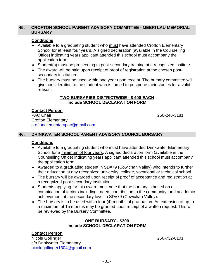#### **45. CROFTON SCHOOL PARENT ADVISORY COMMITTEE - MEERI LAU MEMORIAL BURSARY**

#### **Conditions**

- Available to a graduating student who must have attended Crofton Elementary School for at least four vears. A signed declaration (available in the Counselling Office) indicating years applicant attended this school must accompany the application form.
- Student(s) must be proceeding to post-secondary training at a recognized institute.
- The award will be paid upon receipt of proof of registration at the chosen postsecondary institution.
- The bursary must be used within one year upon receipt. The bursary committee will give consideration to the student who is forced to postpone their studies for a valid reason.

#### **TWO BURSARIES DISTRICTWIDE - \$ 400 EACH Include SCHOOL DECLARATION FORM**

# **Contact Person**<br>PAC Chair

Crofton Elementary [croftonelementarypac@gmail.com](mailto:croftonelementarypac@gmail.com)

PAC Chair 250-246-3181

#### **46. DRINKWATER SCHOOL PARENT ADVISORY COUNCIL BURSARY**

#### **Conditions**

- Available to a graduating student who must have attended Drinkwater Elementary School for a minimum of four years. A signed declaration form (available in the Counselling Office) indicating years applicant attended this school must accompany the application form.
- Awarded to a graduating student in SD#79 (Cowichan Valley) who intends to further their education at any recognized university, college, vocational or technical school.
- The bursary will be awarded upon receipt of proof of acceptance and registration at a recognized post-secondary institution.
- Students applying for this award must note that the bursary is based on a combination of factors including: need; contribution to the community; and academic achievement at the secondary level in SD#79 (Cowichan Valley).
- The bursary is to be used within four (4) months of graduation. An extension of up to a maximum of 15 months may be granted upon receipt of a written request. This will be reviewed by the Bursary Committee.

#### **ONE BURSARY - \$300 Include SCHOOL DECLARATION FORM**

#### **Contact Person**

Nicole Gollinger 250-732-8101 c/o Drinkwater Elementary [nicolegollinger1304@gmail.com](mailto:nicolegollinger1304@gmail.com)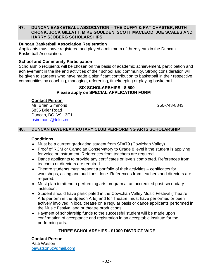#### **47. DUNCAN BASKETBALL ASSOCIATION – THE DUFFY & PAT CHASTER, RUTH CRONK, JOCK GILLATT, MIKE GOULDEN, SCOTT MACLEOD, JOE SCALES AND HARRY SJOBERG SCHOLARSHIPS**

#### **Duncan Basketball Association Registration**

Applicants must have registered and played a minimum of three years in the Duncan Basketball Association.

#### **School and Community Participation**

Scholarship recipients will be chosen on the basis of academic achievement, participation and achievement in the life and activities of their school and community. Strong consideration will be given to students who have made a significant contribution to basketball in their respective communities by coaching, managing, refereeing, timekeeping or playing basketball.

#### **SIX SCHOLARSHIPS - \$ 500 Please apply on SPECIAL APPLICATION FORM**

#### **Contact Person**

Mr. Brian Simmons 250-748-8843 5835 Brier Road Duncan, BC V9L 3E1 [bsimmons@telus.net](mailto:bsimmons@telus.net)

### **48. DUNCAN DAYBREAK ROTARY CLUB PERFORMING ARTS SCHOLARSHIP**

#### **Conditions**

- Must be a current graduating student from SD#79 (Cowichan Valley).
- Proof of RCM or Canadian Conservatory to Grade 8 level if the student is applying for voice or instrument. References from teachers are required.
- Dance applicants to provide any certificates or levels completed. References from teachers or directors are required.
- Theatre students must present a portfolio of their activities certificates for workshops, acting and auditions done. References from teachers and directors are required.
- Must plan to attend a performing arts program at an accredited post-secondary institution.
- Student should have participated in the Cowichan Valley Music Festival (Theatre Arts perform in the Speech Arts) and for Theatre, must have performed or been actively involved in local theatre on a regular basis or dance applicants performed in the Music Festival and or theatre productions.
- Payment of scholarship funds to the successful student will be made upon confirmation of acceptance and registration in an acceptable institute for the performing arts.

## **THREE SCHOLARSHIPS - \$1000 DISTRICT WIDE**

### **Contact Person**

Patti Watson [pewatson6@gmail.com](mailto:pewatson6@gmail.com)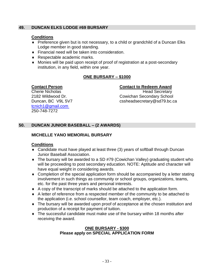## **49. DUNCAN ELKS LODGE #69 BURSARY**

### **Conditions**

- Preference given but is not necessary, to a child or grandchild of a Duncan Elks Lodge member in good standing.
- Financial need will be taken into consideration.
- ◆ Respectable academic marks.
- Monies will be paid upon receipt of proof of registration at a post-secondary institution, in any field, within one year.

## **ONE BURSARY – \$1000**

## **Contact Person Contact to Redeem Award**

[tcnich1@gmail.com](mailto:tcnich1@gmail.com) 250-748-7272

Cherie Nicholas **Head Secretary** 2182 Wildwood Dr. Cowichan Secondary School Duncan, BC V9L 5V7 cssheadsecretary@sd79.bc.ca

## **50. DUNCAN JUNIOR BASEBALL – (2 AWARDS)**

## **MICHELLE YANO MEMORIAL BURSARY**

## **Conditions**

- Candidate must have played at least three (3) years of softball through Duncan Junior Baseball Association.
- The bursary will be awarded to a SD #79 (Cowichan Valley) graduating student who will be proceeding to post secondary education. NOTE: Aptitude and character will have equal weight in considering awards.
- Completion of the special application form should be accompanied by a letter stating involvement in such things as community or school groups, organizations, teams, etc. for the past three years and personal interests.
- A copy of the transcript of marks should be attached to the application form.
- A letter of reference from a respected member of the community to be attached to the application (i.e. school counsellor, team coach, employer, etc.).
- The bursary will be awarded upon proof of acceptance at the chosen institution and production of a receipt for payment of tuition.
- The successful candidate must make use of the bursary within 18 months after receiving the award.

## **ONE BURSARY - \$300 Please apply on SPECIAL APPLICATION FORM**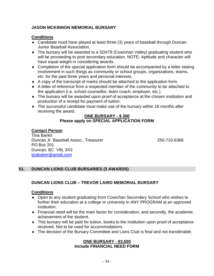## **JASON MCKINNON MEMORIAL BURSARY**

## **Conditions**

- Candidate must have played at least three (3) years of baseball through Duncan Junior Baseball Association.
- The bursary will be awarded to a SD#79 (Cowichan Valley) graduating student who will be proceeding to post secondary education. NOTE: Aptitude and character will have equal weight in considering awards.
- Completion of the special application form should be accompanied by a letter stating involvement in such things as community or school groups, organizations, teams, etc. for the past three years and personal interests.
- A copy of the transcript of marks should be attached to the application form.
- A letter of reference from a respected member of the community to be attached to the application (i.e. school counsellor, team coach, employer, etc.).
- The bursary will be awarded upon proof of acceptance at the chosen institution and production of a receipt for payment of tuition.
- The successful candidate must make use of the bursary within 18 months after receiving the award.

#### **ONE BURSARY - \$ 300 Please apply on SPECIAL APPLICATION FORM**

## **Contact Person**

Tina Banks Duncan Jr. Baseball Assoc., Treasurer 250-710-6368 PO Box 201 Duncan, BC V9L 3X3 [tjsabaker@gmail.com](mailto:tjsabaker@gmail.com)

## **51. DUNCAN LIONS CLUB BURSARIES (3 AWARDS)**

## **DUNCAN LIONS CLUB – TREVOR LAIRD MEMORIAL BURSARY**

### **Conditions**

- Open to any student graduating from Cowichan Secondary School who wishes to further their education at a college or university in ANY PROGRAM at an approved institution.
- Financial need will be the main factor for consideration, and secondly, the academic achievement of the student.
- This bursary will be paid for tuition, books to the institution upon proof of acceptance received. Not to be used for accommodations.
- The decision of the Bursary Committee and Lions Club is final and not transferable.

### **ONE BURSARY - \$3,500 Include FINANCIAL NEED FORM**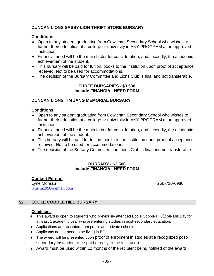## **DUNCAN LIONS SASSY LION THRIFT STORE BURSARY**

#### **Conditions**

- Open to any student graduating from Cowichan Secondary School who wishes to further their education at a college or university in ANY PROGRAM at an approved institution.
- Financial need will be the main factor for consideration, and secondly, the academic achievement of the student.
- This bursary will be paid for tuition, books to the institution upon proof of acceptance received. Not to be used for accommodations.
- The decision of the Bursary Committee and Lions Club is final and not transferable.

#### **THREE BURSARIES - \$3,500 Include FINANCIAL NEED FORM**

#### **DUNCAN LIONS TIM JANG MEMORIAL BURSARY**

#### **Conditions**

- Open to any student graduating from Cowichan Secondary School who wishes to further their education at a college or university in ANY PROGRAM at an approved institution.
- Financial need will be the main factor for consideration, and secondly, the academic achievement of the student.
- This bursary will be paid for tuition, books to the institution upon proof of acceptance received. Not to be used for accommodations.
- The decision of the Bursary Committee and Lions Club is final and not transferable.

#### **BURSARY - \$3,500 Include FINANCIAL NEED FORM**

**Contact Person** Lyne Moreau 250-710-6980 [lyne.m1950@gmail.com](mailto:lyne.m1950@gmail.com)

### **52. ECOLE COBBLE HILL BURSARY**

- This award is open to students who previously attended École Cobble Hill/École Mill Bay for at least 1 academic year who are entering studies in post-secondary education.
- Applications are accepted from public and private schools.
- ◆ Applicants do not need to be living in BC.
- The award will be presented upon proof of enrolment in studies at a recognized postsecondary institution to be paid directly to the institution.
- Award must be used within 12 months of the recipient being notified of the award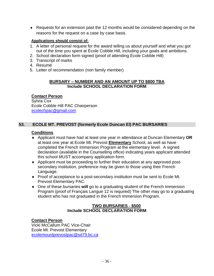Requests for an extension past the 12 months would be considered depending on the reasons for the request on a case by case basis.

#### **Applications should consist of:**

- 1. A letter of personal request for the award telling us about yourself and what you got out of the time you spent at École Cobble Hill, including your goals and ambitions.
- 2. School declaration form signed (proof of attending École Cobble Hill)
- 3. Transcript of marks
- 4. Resumé
- 5. Letter of recommendation (non family member)

#### **BURSARY – NUMBER AND AN AMOUNT UP TO \$800 TBA Include SCHOOL DECLARATION FORM**

### **Contact Person**

Sylvia Cox Ecole Cobble Hill PAC Chairperson [ecolechpac@gmail.com](mailto:gsfarrell@shaw.ca)

## **53. ECOLE MT. PREVOST (formerly Ecole Duncan El) PAC BURSARIES**

#### **Conditions**

- Applicant must have had at least one year in attendance at Duncan Elementary **OR**  at least one year at Ecole Mt. Prevost **Elementary** School, as well as have completed the French Immersion Program at the elementary level. A signed declaration (available in the Counselling office) indicating years applicant attended this school MUST accompany application form.
- Applicant must be proceeding to further their education at any approved postsecondary institution, preference may be given to those using their French Language.
- Proof of acceptance to a post-secondary institution must be sent to Ecole Mt. Prevost Elementary PAC.
- One of these bursaries **will** go to a graduating student of the French Immersion Program (proof of Français Langue 12 is required) The other may go to a graduating student who has not graduated in the French Immersion Program.

### **TWO BURSARIES - \$500 Include SCHOOL DECLARATION FORM**

### **Contact Person**

Vicki McCallum PAC Vice-Chair Ecole Mt. Prevost Elementary [ecolemountprevostpac@sd79.bc.ca](mailto:ecolemountprevostpac@sd79.bc.ca)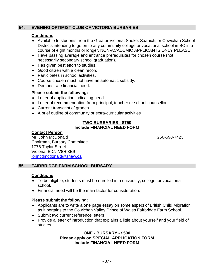### **54. EVENING OPTIMIST CLUB OF VICTORIA BURSARIES**

#### **Conditions**

- Available to students from the Greater Victoria, Sooke, Saanich, or Cowichan School Districts intending to go on to any community college or vocational school in BC in a course of eight months or longer. NON-ACADEMIC APPLICANTS ONLY PLEASE.
- Have passing average and entrance prerequisites for chosen course (not necessarily secondary school graduation).
- ◆ Has given best effort to studies.
- ◆ Good citizen with a clean record.
- ◆ Participates in school activities.
- Course chosen must not have an automatic subsidy.
- Demonstrate financial need.

#### **Please submit the following:**

- ◆ Letter of application indicating need
- Letter of recommendation from principal, teacher or school counsellor
- ◆ Current transcript of grades
- A brief outline of community or extra-curricular activities

#### **TWO BURSARIES - \$750 Include FINANCIAL NEED FORM**

#### **Contact Person**

Mr. John McDonald 250-598-7423 Chairman, Bursary Committee 1776 Taylor Street Victoria, B.C. V8R 3E9 [johncdmcdonald@shaw.ca](mailto:johncdmcdonald@shaw.ca)

### **55. FAIRBRIDGE FARM SCHOOL BURSARY**

### **Conditions**

- To be eligible, students must be enrolled in a university, college, or vocational school.
- Financial need will be the main factor for consideration.

#### **Please submit the following:**

- Applicants are to write a one page essay on some aspect of British Child Migration as it pertains to the Cowichan Valley Prince of Wales Fairbridge Farm School.
- ◆ Submit two current reference letters
- Provide a letter of introduction that explains a little about yourself and your field of studies.

#### **ONE - BURSARY - \$500 Please apply on SPECIAL APPLICATION FORM Include FINANCIAL NEED FORM**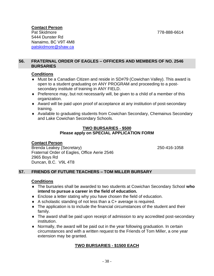### **Contact Person**

Pat Skidmore 778-888-6614 5444 Dunster Rd Nanaimo, BC V9T 4M8 [patskidmore@shaw.ca](mailto:patskidmore@shaw.ca)

#### **56. FRATERNAL ORDER OF EAGLES – OFFICERS AND MEMBERS OF NO. 2546 BURSARIES**

### **Conditions**

- Must be a Canadian Citizen and reside in SD#79 (Cowichan Valley). This award is open to a student graduating on ANY PROGRAM and proceeding to a postsecondary institute of training in ANY FIELD.
- Preference may, but not necessarily will, be given to a child of a member of this organization.
- Award will be paid upon proof of acceptance at any institution of post-secondary training.
- Available to graduating students from Cowichan Secondary, Chemainus Secondary and Lake Cowichan Secondary Schools.

#### **TWO BURSARIES - \$500 Please apply on SPECIAL APPLICATION FORM**

### **Contact Person**

Brenda Leakey (Secretary) 250-416-1058 Fraternal Order of Eagles, Office Aerie 2546 2965 Boys Rd Duncan, B.C. V9L 4T8

### **57. FRIENDS OF FUTURE TEACHERS – TOM MILLER BURSARY**

## **Conditions**

- The bursaries shall be awarded to two students at Cowichan Secondary School **who intend to pursue a career in the field of education.**
- Enclose a letter stating why you have chosen the field of education.
- A scholastic standing of not less than a C+ average is required.
- The application is to include the financial circumstances of the student and their family.
- The award shall be paid upon receipt of admission to any accredited post-secondary institution.
- Normally, the award will be paid out in the year following graduation. In certain circumstances and with a written request to the Friends of Tom Miller, a one year extension may be granted.

## **TWO BURSARIES - \$1500 EACH**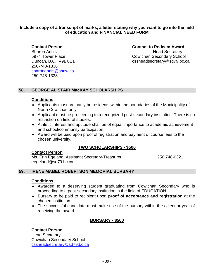#### **Include a copy of a transcript of marks, a letter stating why you want to go into the field of education and FINANCIAL NEED FORM**

250-748-1338 [sharonannis@shaw.ca](mailto:sharonannis@shaw.ca) 250-748-1338

#### **Contact Person Contact to Redeem Award**

Sharon Annis **Head Secretary** 5974 Tower Place Cowichan Secondary School Duncan, B.C. V9L 0E1 cssheadsecretary@sd79.bc.ca

### **58. GEORGE ALISTAIR MacKAY SCHOLARSHIPS**

#### **Conditions**

- Applicants must ordinarily be residents within the boundaries of the Municipality of North Cowichan only.
- Applicant must be proceeding to a recognized post-secondary institution. There is no restriction on field of studies.
- Athletic interest and aptitude shall be of equal importance to academic achievement and school/community participation.
- Award will be paid upon proof of registration and payment of course fees to the chosen university.

## **TWO SCHOLARSHIPS - \$500**

#### **Contact Person**

Ms. Erin Egeland, Assistant Secretary-Treasurer 250 748-0321 eegeland@sd79.bc.ca

### **59. IRENE MABEL ROBERTSON MEMORIAL BURSARY**

#### **Conditions**

- Awarded to a deserving student graduating from Cowichan Secondary who is proceeding to a post-secondary institution in the field of EDUCATION.
- Bursary to be paid to recipient upon **proof of acceptance and registration** at the chosen institution.
- The successful candidate must make use of the bursary within the calendar year of receiving the award.

### **BURSARY - \$500**

### **Contact Person**

Head Secretary Cowichan Secondary School [cssheadsecretary@sd79.bc.ca](mailto:cssecretary@sd79.bc.ca)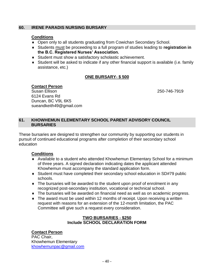#### **60. IRENE PARADIS NURSING BURSARY**

#### **Conditions**

- Open only to all students graduating from Cowichan Secondary School.
- Students must be proceeding to a full program of studies leading to **registration in the B.C. Registered Nurses' Association.**
- Student must show a satisfactory scholastic achievement.
- Student will be asked to indicate if any other financial support is available (i.e. family assistance, etc.)

## **ONE BURSARY- \$ 500**

250-746-7919

**Contact Person**<br>Susan Ellison 6124 Evans Rd Duncan, BC V9L 6K5 sueandkeith49@gmail.com

#### **61. KHOWHEMUN ELEMENTARY SCHOOL PARENT ADVISORY COUNCIL BURSARIES**

These bursaries are designed to strengthen our community by supporting our students in pursuit of continued educational programs after completion of their secondary school education

### **Conditions**

- Available to a student who attended Khowhemun Elementary School for a minimum of three years. A signed declaration indicating dates the applicant attended Khowhemun must accompany the standard application form.
- Student must have completed their secondary school education in SD#79 public schools.
- The bursaries will be awarded to the student upon proof of enrolment in any recognized post-secondary institution, vocational or technical school.
- The bursaries will be awarded on financial need as well as on academic progress.
- The award must be used within 12 months of receipt. Upon receiving a written request with reasons for an extension of the 12-month limitation, the PAC Committee will give such a request every consideration.

#### **TWO BURSARIES - \$250 Include SCHOOL DECLARATION FORM**

### **Contact Person**

PAC Chair, Khowhemun Elementary [khowhemunpac@gmail.com](mailto:khowhemunpac@gmail.com)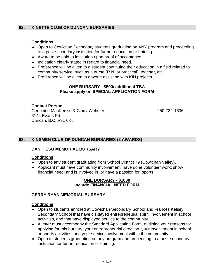## **62. KINETTE CLUB OF DUNCAN BURSARIES**

#### **Conditions**

- Open to Cowichan Secondary students graduating on ANY program and proceeding to a post-secondary institution for further education or training.
- Award to be paid to institution upon proof of acceptance.
- $\bullet$  Indication clearly stated in regard to financial need.
- Preference will be given to a student continuing their education in a field related to community service, such as a nurse (R.N. or practical), teacher, etc.
- ◆ Preference will be given to anyone assisting with KIN projects.

#### **ONE BURSARY - \$500/ additional TBA Please apply on SPECIAL APPLICATION FORM**

#### **Contact Person** Genneine MacKenzie & Cindy Webster 250-732-1636 6144 Evans Rd Duncan, B.C. V9L 6K5

### **63. KINSMEN CLUB OF DUNCAN BURSARIES (2 AWARDS)**

#### **DAN TIESU MEMORIAL BURSARY**

#### **Conditions**

- Open to any student graduating from School District 79 (Cowichan Valley).
- Applicant must have community involvement; have done volunteer work; show financial need; and is involved in, or have a passion for, sports.

#### **ONE BURSARY - \$1000 Include FINANCIAL NEED FORM**

#### **GERRY RYAN MEMORIAL BURSARY**

- Open to students enrolled at Cowichan Secondary School and Frances Kelsey Secondary School that have displayed entrepreneurial spirit, involvement in school activities, and that have displayed service to the community.
- A letter must accompany the Standard Application Form, outlining your reasons for applying for this bursary, your entrepreneurial direction, your involvement in school or sports activities, and your service involvement within the community.
- Open to students graduating on any program and proceeding to a post-secondary institution for further education or training.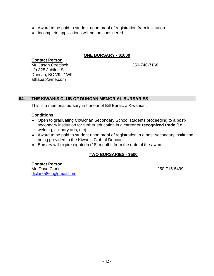- Award to be paid to student upon proof of registration from institution.
- $\bullet$  Incomplete applications will not be considered.

#### **ONE BURSARY - \$1000**

### **Contact Person**

Mr. Jason Czettisch 250-746-7168 c/o 325 Jubilee St Duncan, BC V9L 1W9 athapap@me.com

#### **64. THE KIWANIS CLUB OF DUNCAN MEMORIAL BURSARIES**

This is a memorial bursary in honour of Bill Burak, a Kiwanian.

#### **Conditions**

- Open to graduating Cowichan Secondary School students proceeding to a postsecondary institution for further education in a career or **recognized trade** (i.e. welding, culinary arts, etc).
- Award to be paid to student upon proof of registration in a post-secondary institution being provided to the Kiwanis Club of Duncan.
- Bursary will expire eighteen (18) months from the date of the award.

### **TWO BURSARIES - \$500**

### **Contact Person**

Mr. Dave Clark 250-715-5499 [djclark5864@gmail.com](mailto:djclark@shaw.ca)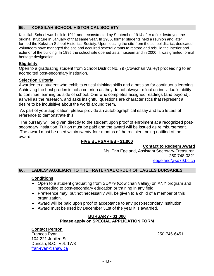## **65. KOKSILAH SCHOOL HISTORICAL SOCIETY**

Koksilah School was built in 1911 and reconstructed by September 1914 after a fire destroyed the original structure in January of that same year. In 1986, former students held a reunion and later formed the Koksilah School Historical Society. Upon leasing the site from the school district, dedicated volunteers have managed the site and acquired several grants to restore and rebuild the interior and exterior of the building. In 1995 the school site opened as a museum and in 2000, it was granted formal heritage designation.

#### **Eligibility**

Open to a graduating student from School District No. 79 (Cowichan Valley) proceeding to an accredited post-secondary institution.

#### **Selection Criteria**

Awarded to a student who exhibits critical-thinking skills and a passion for continuous learning. Achieving the best grades is not a criterion as they do not always reflect an individual's ability to continue learning outside of school. One who completes assigned readings (and beyond), as well as the research, and asks insightful questions are characteristics that represent a desire to be inquisitive about the world around them.

As part of your application, please provide an autobiographical essay and two letters of reference to demonstrate this.

The bursary will be given directly to the student upon proof of enrolment at a recognized postsecondary institution. Tuition must be paid and the award will be issued as reimbursement. The award must be used within twenty-four months of the recipient being notified of the award.

## **FIVE BURSARIES - \$1,000**

**Contact to Redeem Award**

 Ms. Erin Egeland, Assistant Secretary-Treasurer 250 748-0321 [eegeland@sd79.bc.ca](mailto:eegeland@sd79.bc.ca)

### **66. LADIES' AUXILIARY TO THE FRATERNAL ORDER OF EAGLES BURSARIES**

#### **Conditions**

- Open to a student graduating from SD#79 (Cowichan Valley) on ANY program and proceeding to post-secondary education or training in any field.
- Preference may, but not necessarily will, be given to a child of a member of this organization.
- Award will be paid upon proof of acceptance to any post-secondary institution.
- Award must be used by December 31st of the year it is awarded.

#### **BURSARY - \$1,000 Please apply on SPECIAL APPLICATION FORM**

#### **Contact Person**

Frances Ryan 250-746-6451 104-221 Jubilee St. Duncan, B.C. V9L 1W8 [fran-ryan@shaw.ca](mailto:fran-ryan@shaw.ca)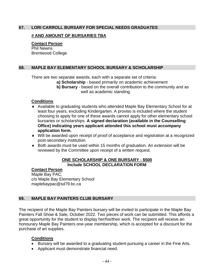#### **67. LORI CARROLL BURSARY FOR SPECIAL NEEDS GRADUATES**

#### **# AND AMOUNT OF BURSARIES TBA**

**Contact Person** Phil Newns Brentwood College

### **68. MAPLE BAY ELEMENTARY SCHOOL BURSARY & SCHOLARSHIP**

There are two separate awards, each with a separate set of criteria:

- **a) Scholarship** based primarily on academic achievement
- **b) Bursary**  based on the overall contribution to the community and as well as academic standing.

#### **Conditions**

- Available to graduating students who attended Maple Bay Elementary School for at least four years, excluding Kindergarten. A proviso is included where the student choosing to apply for one of these awards cannot apply for other elementary school bursaries or scholarships. **A signed declaration (available in the Counselling Office) indicating years applicant attended this school must accompany application form.**
- Will be awarded upon receipt of proof of acceptance and registration at a recognized post-secondary institution.
- Both awards must be used within 15 months of graduation. An extension will be reviewed by the Committee upon receipt of a written request.

#### **ONE SCHOLARSHIP & ONE BURSARY - \$500 Include SCHOOL DECLARATION FORM**

#### **Contact Person**

Maple Bay PAC, c/o Maple Bay Elementary School maplebaypac@sd79.bc.ca

### **69. MAPLE BAY PAINTERS CLUB BURSARY**

The recipient of the Maple Bay Painters bursary will be invited to participate in the Maple Bay Painters Fall Show & Sale, October 2022. Two pieces of work can be submitted. This affords a great opportunity for the student to display her/his/their work. The recipient will receive an honourary Maple Bay Painters one-year membership, which is accepted for a discount for the purchase of art supplies.

- Bursary will be awarded to a graduating student pursuing a career in the Fine Arts.
- Applicant must demonstrate financial need.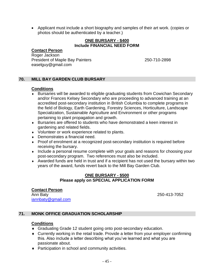• Applicant must include a short biography and samples of their art work. (copies or photos should be authenticated by a teacher.)

#### **ONE BURSARY - \$400 Include FINANCIAL NEED FORM**

#### **Contact Person**

Roger Jackson President of Maple Bay Painters 250-710-2898 easelguy@gmail.com

## **70. MILL BAY GARDEN CLUB BURSARY**

### **Conditions**

- Bursaries will be awarded to eligible graduating students from Cowichan Secondary and/or Frances Kelsey Secondary who are proceeding to advanced training at an accredited post-secondary institution in British Columbia to complete programs in the field of Biology, Earth Gardening, Forestry Sciences, Horticulture, Landscape Specialization, Sustainable Agriculture and Environment or other programs pertaining to plant propagation and growth.
- Bursaries are offered to students who have demonstrated a keen interest in gardening and related fields.
- Volunteer or work experience related to plants.
- Demonstrates a financial need.
- Proof of enrolment at a recognized post-secondary institution is required before receiving the bursary.
- Include a personal resume complete with your goals and reasons for choosing your post-secondary program. Two references must also be included.
- Awarded funds are held in trust and if a recipient has not used the bursary within two years of the award, funds revert back to the Mill Bay Garden Club.

#### **ONE BURSARY - \$500 Please apply on SPECIAL APPLICATION FORM**

#### **Contact Person** Ann Baty 250-413-7052 [iannbaty@gmail.com](mailto:iannbaty@gmail.com)

### **71. MONK OFFICE GRADUATION SCHOLARSHIP**

- Graduating Grade 12 student going onto post-secondary education.
- Currently working in the retail trade. Provide a letter from your employer confirming this. Also include a letter describing what you've learned and what you are passionate about.
- ◆ Participation in school and community activities.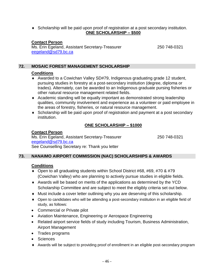Scholarship will be paid upon proof of registration at a post secondary institution. **ONE SCHOLARSHIP – \$500**

#### **Contact Person**

Ms. Erin Egeland, Assistant Secretary-Treasurer 250 748-0321 [eegeland@sd79.bc.ca](mailto:kblow@sd79.bc.ca)

## **72. MOSAIC FOREST MANAGEMENT SCHOLARSHIP**

#### **Conditions**

- Awarded to a Cowichan Valley SD#79, Indigenous graduating grade 12 student, pursuing studies in forestry at a post-secondary institution (degree, diploma or trades). Alternately, can be awarded to an Indigenous graduate pursing fisheries or other natural resource management related fields.
- Academic standing will be equally important as demonstrated strong leadership qualities, community involvement and experience as a volunteer or paid employee in the areas of forestry, fisheries, or natural resource management.
- Scholarship will be paid upon proof of registration and payment at a post secondary institution.

### **ONE SCHOLARSHIP – \$1000**

#### **Contact Person**

Ms. Erin Egeland, Assistant Secretary-Treasurer 250 748-0321 [eegeland@sd79.bc.ca](mailto:kblow@sd79.bc.ca) See Counselling Secretary re: Thank you letter

### **73. NANAIMO AIRPORT COMMISSION (NAC) SCHOLARSHIPS & AWARDS**

- ◆ Open to all graduating students within School District #68, #69, #70 & #79 (Cowichan Valley) who are planning to actively pursue studies in eligible fields.
- Awards will be based on merits of the applications as determined by the YCD Scholarship Committee and are subject to meet the eligibly criteria set out below.
- Must include a cover letter outlining why you are deserving of this scholarship.
- Open to candidates who will be attending a post-secondary institution in an eligible field of study, as follows:
- Commercial or Private pilot
- Aviation Maintenance, Engineering or Aerospace Engineering
- Related airport service fields of study including Tourism, Business Administration, Airport Management
- Trades programs
- Sciences
- Awards will be subject to providing proof of enrollment in an eligible post-secondary program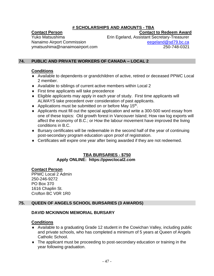## **# SCHOLARSHIPS AND AMOUNTS - TBA**

**Contact Person Contact Person Contact to Redeem Award** 

Yuko Matsushima Erin Egeland, Assistant Secretary-Treasurer Nanaimo Airport Commission [eegeland@sd79.bc.ca](mailto:eegeland@sd79.bc.ca) ymatsushima@nanaimoairport.com 250-748-0321

### **74. PUBLIC AND PRIVATE WORKERS OF CANADA – LOCAL 2**

### **Conditions**

- Available to dependents or grandchildren of active, retired or deceased PPWC Local 2 member.
- Available to siblings of current active members within Local 2
- ◆ First time applicants will take precedence
- Eligible applicants may apply in each year of study. First time applicants will ALWAYS take precedent over consideration of past applicants.
- ◆ Applications must be submitted on or before May 15<sup>th</sup>.
- Applicants must fill out the special application and write a 300-500 word essay from one of these topics: Old growth forest in Vancouver Island; How raw log exports will affect the economy of B.C.; or How the labour movement have improved the living conditions in B.C.
- Bursary certificates will be redeemable in the second half of the year of continuing post-secondary program education upon proof of registration.
- Certificates will expire one year after being awarded if they are not redeemed.

#### **TBA BURSARIES - \$750 Apply ONLINE: https://ppwclocal2.com**

#### **Contact Person**

PPWC Local 2 Admin 250-246-9272 PO Box 370 1616 Chaplin St. Crofton BC V0R 1R0

### **75. QUEEN OF ANGELS SCHOOL BURSARIES (3 AWARDS)**

### **DAVID MCKINNON MEMORIAL BURSARY**

- Available to a graduating Grade 12 student in the Cowichan Valley, including public and private schools, who has completed a minimum of 5 years at Queen of Angels Catholic School.
- The applicant must be proceeding to post-secondary education or training in the year following graduation.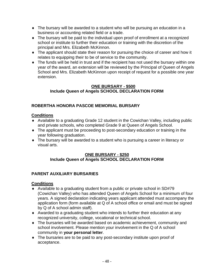- The bursary will be awarded to a student who will be pursuing an education in a business or accounting related field or a trade.
- The bursary will be paid to the individual upon proof of enrollment at a recognized school or institute to further their education or training with the discretion of the principal and Mrs. Elizabeth McKinnon.
- The applicant should state their reason for pursuing the choice of career and how it relates to equipping their to be of service to the community.
- The funds will be held in trust and if the recipient has not used the bursary within one year of the award, an extension will be reviewed by the Principal of Queen of Angels School and Mrs. Elizabeth McKinnon upon receipt of request for a possible one year extension.

#### **ONE BURSARY - \$500 Include Queen of Angels SCHOOL DECLARATION FORM**

## **ROBERTHA HONORA PASCOE MEMORIAL BURSARY**

## **Conditions**

- Available to a graduating Grade 12 student in the Cowichan Valley, including public and private schools, who completed Grade 9 at Queen of Angels School.
- The applicant must be proceeding to post-secondary education or training in the year following graduation.
- The bursary will be awarded to a student who is pursuing a career in literacy or visual arts.

## **ONE BURSARY - \$250 Include Queen of Angels SCHOOL DECLARATION FORM**

## **PARENT AUXILIARY BURSARIES**

- Available to a graduating student from a public or private school in SD#79 (Cowichan Valley) who has attended Queen of Angels School for a minimum of four years. A signed declaration indicating years applicant attended must accompany the application form (form available at Q of A school office or email and must be signed by Q of A school admin staff).
- Awarded to a graduating student who intends to further their education at any recognized university, college, vocational or technical school.
- The bursaries will be awarded based on academic achievement, community and school involvement. Please mention your involvement in the Q of A school community in **your personal letter**.
- The bursaries are to be paid to any post-secondary institute upon proof of acceptance.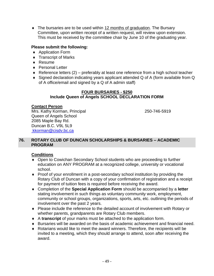• The bursaries are to be used within 12 months of graduation. The Bursary Committee, upon written receipt of a written request, will review upon extension. This must be received by the committee chair by June 10 of the graduating year.

## **Please submit the following:**

- ◆ Application Form
- ◆ Transcript of Marks
- ◆ Resume
- ◆ Personal Letter
- ◆ Reference letters (2) preferably at least one reference from a high school teacher
- Signed declaration indicating years applicant attended Q of A (form available from Q of A office/email and signed by a Q of A admin staff)

#### **FOUR BURSARIES - \$250 Include Queen of Angels SCHOOL DECLARATION FORM**

### **Contact Person**

Mrs. Kathy Korman, Principal 250-746-5919 Queen of Angels School 2085 Maple Bay Rd. Duncan B.C. V9L 5L9 [kkorman@cisdv.bc.ca](mailto:kkorman@cisdv.bc.ca)

#### **76. ROTARY CLUB OF DUNCAN SCHOLARSHIPS & BURSARIES – ACADEMIC PROGRAM**

- ◆ Open to Cowichan Secondary School students who are proceeding to further education on ANY PROGRAM at a recognized college, university or vocational school.
- Proof of your enrollment in a post-secondary school institution by providing the Rotary Club of Duncan with a copy of your confirmation of registration and a receipt for payment of tuition fees is required before receiving the award.
- Completion of the **Special Application Form** should be accompanied by a **letter** stating involvement in such things as voluntary community work, employment, community or school groups, organizations, sports, arts, etc. outlining the periods of involvement over the past 2 years.
- Please include the reference to the detailed account of involvement with Rotary or whether parents, grandparents are Rotary Club members.
- A **transcript** of your marks must be attached to the application form.
- Bursaries will be awarded on the basis of academic achievement and financial need.
- Rotarians would like to meet the award winners. Therefore, the recipients will be invited to a meeting, which they should arrange to attend, soon after receiving the award.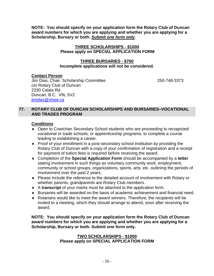**NOTE: You should specify on your application form the Rotary Club of Duncan award numbers for which you are applying and whether you are applying for a Scholarship, Bursary or both.** *Submit one form only.*

#### **THREE SCHOLARSHIPS - \$1000 Please apply on SPECIAL APPLICATION FORM**

#### **THREE BURSARIES - \$700 Incomplete applications will not be considered.**

## **Contact Person**

Jim Dias, Chair, Scholarship Committee 250-748-3373 c/o Rotary Club of Duncan 2330 Calais Rd. Duncan, B.C. V9L 5V2 [jimdias@shaw.ca](mailto:jimdias@shaw.ca)

## **77. ROTARY CLUB OF DUNCAN SCHOLARSHIPS AND BURSARIES–VOCATIONAL AND TRADES PROGRAM**

## **Conditions**

- Open to Cowichan Secondary School students who are proceeding to recognized vocational or trade schools, or apprenticeship programs, to complete a course leading to establishing a career.
- Proof of your enrollment in a post-secondary school institution by providing the Rotary Club of Duncan with a copy of your confirmation of registration and a receipt for payment of tuition fees is required before receiving the award.
- Completion of the **Special Application Form** should be accompanied by a **letter** stating involvement in such things as voluntary community work, employment, community or school groups, organizations, sports, arts, etc. outlining the periods of involvement over the past 2 years.
- Please include the reference to the detailed account of involvement with Rotary or whether parents, grandparents are Rotary Club members.
- A **transcript** of your marks must be attached to the application form.
- $\bullet$  Bursaries will be awarded on the basis of academic achievement and financial need.
- Rotarians would like to meet the award winners. Therefore, the recipients will be invited to a meeting, which they should arrange to attend, soon after receiving the award.

**NOTE: You should specify on your application form the Rotary Club of Duncan award numbers for which you are applying and whether you are applying for a Scholarship, Bursary or both. Submit one form only.**

#### **TWO SCHOLARSHIPS - \$1000 Please apply on SPECIAL APPLICATION FORM**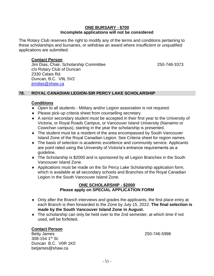#### **ONE BURSARY - \$700 Incomplete applications will not be considered**

The Rotary Club reserves the right to modify any of the terms and conditions pertaining to these scholarships and bursaries, or withdraw an award where insufficient or unqualified applications are submitted.

#### **Contact Person**

Jim Dias, Chair, Scholarship Committee 250-748-3373 c/o Rotary Club of Duncan 2330 Calais Rd. Duncan, B.C. V9L 5V2 [jimdias@shaw.ca](mailto:jimdias@shaw.ca)

#### **78. ROYAL CANADIAN LEGION-SIR PERCY LAKE SCHOLARSHIP**

#### **Conditions**

- Open to all students Military and/or Legion association is not required.
- Please pick-up criteria sheet from counselling secretary.
- A senior secondary student must be accepted in their first year to the University of Victoria, or Royal Roads Campus, or Vancouver Island University (Nanaimo or Cowichan campus), starting in the year the scholarship is presented.
- The student must be a resident of the area encompassed by South Vancouver Island Zone of the Royal Canadian Legion. See Criteria sheet for region names.
- The basis of selection is academic excellence and community service. Applicants are point rated using the University of Victoria's entrance requirements as a guideline.
- The Scholarship is \$2000 and is sponsored by all Legion Branches in the South Vancouver Island Zone.
- Applications must be made on the Sir Percy Lake Scholarship application form, which is available at all secondary schools and Branches of the Royal Canadian Legion in the South Vancouver Island Zone.

#### **ONE SCHOLARSHIP - \$2000 Please apply on SPECIAL APPLICATION FORM**

- Only after the Branch interviews and grades the applicants, the first place entry at each Branch is then forwarded to the Zone by July 15, 2022. **The final selection is made by the South Vancouver Island Zone in August.**
- The scholarship can only be held over to the 2nd semester, at which time if not used, will be forfeited.

#### **Contact Person**

Betty James 250-746-5998 308-154 1st St. Duncan B.C. V0R 1K0 betjames@shaw.ca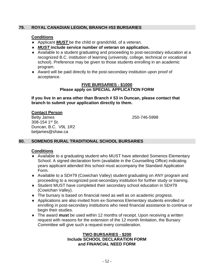#### **79. ROYAL CANADIAN LEGION, BRANCH #53 BURSARIES**

#### **Conditions**

- ◆ Applicant *MUST* be the child or grandchild, of a veteran.
- *MUST* **include service number of veteran on application.**
- Available to a student graduating and proceeding to post-secondary education at a recognized B.C. institution of learning (university, college, technical or vocational school). Preference may be given to those students enrolling in an academic program.
- Award will be paid directly to the post-secondary institution upon proof of acceptance.

#### **FIVE BURSARIES - \$1000 Please apply on SPECIAL APPLICATION FORM**

**If you live in an area other than Branch # 53 in Duncan, please contact that branch to submit your application directly to them.**

#### **Contact Person**

Betty James 250-746-5998 308-154 1st St. Duncan, B.C. V9L 1R2 betjames@shaw.ca

#### **80. SOMENOS RURAL TRADITIONAL SCHOOL BURSARIES**

#### **Conditions**

- Available to a graduating student who MUST have attended Somenos Elementary School. A signed declaration form (available in the Counselling Office) indicating years applicant attended this school must accompany the Standard Application Form.
- Available to a SD#79 (Cowichan Valley) student graduating on ANY program and proceeding to a recognized post-secondary institution for further study or training.
- Student MUST have completed their secondary school education in SD#79 (Cowichan Valley).
- The bursary is based on financial need as well as on academic progress.
- Applications are also invited from ex-Somenos Elementary students enrolled or enrolling in post-secondary institutions who need financial assistance to continue or begin their studies.
- The award **must** be used within 12 months of receipt. Upon receiving a written request with reasons for the extension of the 12 month limitation, the Bursary Committee will give such a request every consideration.

#### **TWO BURSARIES - \$200 Include SCHOOL DECLARATION FORM and FINANCIAL NEED FORM**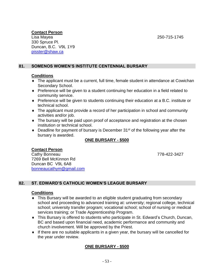## **Contact Person**

Lisa Mayea 250-715-1745 330 Spruce Pl. Duncan, B.C. V9L 1Y9 [pisster@shaw.ca](mailto:pisster@shaw.ca)

## **81. SOMENOS WOMEN'S INSTITUTE CENTENNIAL BURSARY**

### **Conditions**

- The applicant must be a current, full time, female student in attendance at Cowichan Secondary School.
- Preference will be given to a student continuing her education in a field related to community service.
- Preference will be given to students continuing their education at a B.C. institute or technical school.
- The applicant must provide a record of her participation in school and community activities and/or job.
- The bursary will be paid upon proof of acceptance and registration at the chosen institution or technical school.
- $\bullet$  Deadline for payment of bursary is December 31<sup>st</sup> of the following year after the bursary is awarded.

## **ONE BURSARY - \$500**

### **Contact Person**

Cathy Bonneau 778-422-3427 7269 Bell McKinnon Rd Duncan BC V9L 6A8 [bonneaucathym@gmail.com](mailto:bonneaucathym@gmail.com)

## **82. ST. EDWARD'S CATHOLIC WOMEN'S LEAGUE BURSARY**

### **Conditions**

- This Bursary will be awarded to an eligible student graduating from secondary school and proceeding to advanced training at: university; regional college, technical school; university transfer program; vocational school; school of nursing or medical services training; or Trade Apprenticeship Program.
- This Bursary is offered to students who participate in St. Edward's Church, Duncan, BC and based upon financial need, academic performance and community and church involvement. Will be approved by the Priest.
- If there are no suitable applicants in a given year, the bursary will be cancelled for the year under review.

## **ONE BURSARY - \$500**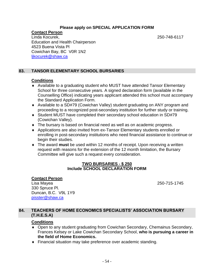#### **Please apply on SPECIAL APPLICATION FORM**

**Contact Person**

Linda Kocurek, 250-748-6117 Education and Health Chairperson 4523 Buena Vista Pl Cowichan Bay, BC V0R 1N2 [ljkocurek@shaw.ca](mailto:ljkocurek@shaw.ca)

## **83. TANSOR ELEMENTARY SCHOOL BURSARIES**

#### **Conditions**

- Available to a graduating student who MUST have attended Tansor Elementary School for three consecutive years. A signed declaration form (available in the Counselling Office) indicating years applicant attended this school must accompany the Standard Application Form.
- Available to a SD#79 (Cowichan Valley) student graduating on ANY program and proceeding to a recognized post-secondary institution for further study or training.
- Student MUST have completed their secondary school education in SD#79 (Cowichan Valley).
- The bursary is based on financial need as well as on academic progress.
- Applications are also invited from ex-Tansor Elementary students enrolled or enrolling in post-secondary institutions who need financial assistance to continue or begin their studies.
- The award **must** be used within 12 months of receipt. Upon receiving a written request with reasons for the extension of the 12 month limitation, the Bursary Committee will give such a request every consideration.

#### **TWO BURSARIES - \$ 250 Include SCHOOL DECLARATION FORM**

#### **Contact Person**

Lisa Mayea 250-715-1745 330 Spruce Pl. Duncan, B.C. V9L 1Y9 [pisster@shaw.ca](mailto:pisster@shaw.ca)

### **84. TEACHERS OF HOME ECONOMICS SPECIALISTS' ASSOCIATION BURSARY (T.H.E.S.A)**

- Open to any student graduating from Cowichan Secondary, Chemainus Secondary, Frances Kelsey or Lake Cowichan Secondary School, **who is pursuing a career in the field of Home Economics.**
- Financial situation may take preference over academic standing.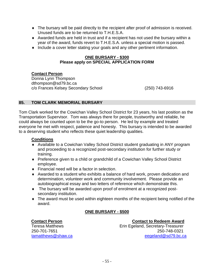- The bursary will be paid directly to the recipient after proof of admission is received. Unused funds are to be returned to T.H.E.S.A.
- Awarded funds are held in trust and if a recipient has not used the bursary within a year of the award, funds revert to T.H.E.S.A. unless a special motion is passed.
- Include a cover letter stating your goals and any other pertinent information.

#### **ONE BURSARY - \$300 Please apply on SPECIAL APPLICATION FORM**

## **Contact Person**

Donna Lynn Thompson dthompson@sd79.bc.ca c/o Frances Kelsey Secondary School (250) 743-6916

## **85. TOM CLARK MEMORIAL BURSARY**

Tom Clark worked for the Cowichan Valley School District for 23 years, his last position as the Transportation Supervisor. Tom was always there for people, trustworthy and reliable, he could always be counted upon to be the go-to person. He led by example and treated everyone he met with respect, patience and honesty. This bursary is intended to be awarded to a deserving student who reflects these quiet leadership qualities.

### **Conditions**

- Available to a Cowichan Valley School District student graduating in ANY program and proceeding to a recognized post-secondary institution for further study or training.
- Preference given to a child or grandchild of a Cowichan Valley School District employee.
- ◆ Financial need will be a factor in selection.
- Awarded to a student who exhibits a balance of hard work, proven dedication and determination, volunteer work and community involvement. Please provide an autobiographical essay and two letters of reference which demonstrate this.
- The bursary will be awarded upon proof of enrolment at a recognized postsecondary institution.
- The award must be used within eighteen months of the recipient being notified of the award.

## **ONE BURSARY - \$500**

### **Contact Person Contact to Redeem Award**

Teresa Matthews Erin Egeland, Secretary-Treasurer 250-701-7651 250-748-0321 [tamatthews@shaw.ca](mailto:tamatthews@shaw.ca) [eegeland@sd79.bc.ca](mailto:eegeland@sd79.bc.ca)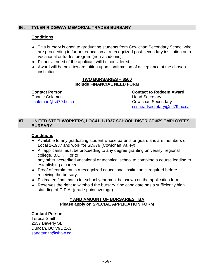### **86. TYLER RIDGWAY MEMORIAL TRADES BURSARY**

#### **Conditions**

- This bursary is open to graduating students from Cowichan Secondary School who are proceeding to further education at a recognized post-secondary institution on a vocational or trades program (non-academic).
- Financial need of the applicant will be considered.
- Award will be paid toward tuition upon confirmation of acceptance at the chosen institution.

#### **TWO BURSARIES – \$500 Include FINANCIAL NEED FORM**

Charlie Coleman **Head Secretary** [ccoleman@sd79.bc.ca](mailto:ccoleman@sd79.bc.ca) Cowichan Secondary

**Contact Person Contact to Redeem Award** [cssheadsecretary@sd79.bc.ca](mailto:cssheadsecretary@sd79.bc.ca)

#### **87. UNITED STEELWORKERS, LOCAL 1-1937 SCHOOL DISTRICT #79 EMPLOYEES BURSARY**

## **Conditions**

- Available to any graduating student whose parents or guardians are members of Local 1-1937 and work for SD#79 (Cowichan Valley)
- All applicants must be proceeding to any degree granting university, regional college, B.C.I.T., or to any other accredited vocational or technical school to complete a course leading to establishing a career.
- Proof of enrolment in a recognized educational institution is required before receiving the bursary.
- Estimated final marks for school year must be shown on the application form.
- Reserves the right to withhold the bursary if no candidate has a sufficiently high standing of G.P.A. (grade point average).

#### **# AND AMOUNT OF BURSARIES TBA Please apply on SPECIAL APPLICATION FORM**

### **Contact Person**

Teresa Smith 2557 Beverly St. Duncan, BC V9L 2X3 [sandtsmith@shaw.ca](mailto:sandtsmith@shaw.ca)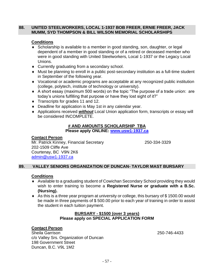#### **88. UNITED STEELWORKERS, LOCAL 1-1937 BOB FREER, ERNIE FREER, JACK MUMM, SYD THOMPSON & BILL WILSON MEMORIAL SCHOLARSHIPS**

## **Conditions**

- Scholarship is available to a member in good standing, son, daughter, or legal dependent of a member in good standing or of a retired or deceased member who were in good standing with United Steelworkers, Local 1-1937 or the Legacy Local Unions.
- Currently graduating from a secondary school.
- Must be planning to enroll in a public post-secondary institution as a full-time student in September of the following year.
- Vocational or academic programs are acceptable at any recognized public institution (college, polytech, institute of technology or university).
- A short essay (maximum 500 words) on the topic "The purpose of a trade union: are today's unions fulfilling that purpose or have they lost sight of it?"
- Transcripts for grades 11 and 12.
- Deadline for application is May 1st in any calendar year.
- Applications received *without* Local Union application form, transcripts or essay will be considered INCOMPLETE.

#### **# AND AMOUNTS SCHOLARSHIP TBA Please apply ONLINE: [www.usw1-1937.ca](https://www.usw1-1937.ca/)**

## **Contact Person**

Mr. Patrick Kinney, Financial Secretary 250-334-3329 202-1509 Cliffe Ave Courtenay, BC V9N 2K6 [admin@usw1-1937.ca](mailto:admin@usw1-1937.ca)

## **89. VALLEY SENIORS ORGANIZATION OF DUNCAN- TAYLOR MAST BURSARY**

## **Conditions**

- Available to a graduating student of Cowichan Secondary School providing they would wish to enter training to become a **Registered Nurse or graduate with a B.Sc. (Nursing).**
- As this is a three year program at university or college, this bursary of \$ 1500.00 would be made in three payments of \$ 500.00 prior to each year of training in order to assist the student in each tuition payment.

## **BURSARY - \$1500 (over 3 years) Please apply on SPECIAL APPLICATION FORM**

## **Contact Person**

Sheila Garrison 250-746-4433 c/o Valley Srs. Organization of Duncan 198 Government Street Duncan, B.C. V9L 1M2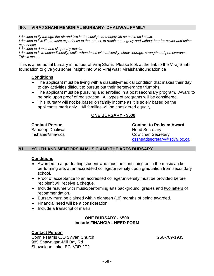## **90. VIRAJ SHAHI MEMORIAL BURSARY- DHALIWAL FAMILY**

*I decided to fly through the air and live in the sunlight and enjoy life as much as I could….*

*I* decided to live life, to taste experience to the utmost, to reach out eagerly and without fear for newer and richer *experience.*

*I decided to dance and sing to my music.*

*I decided to love unconditionally, smile when faced with adversity, show courage, strength and perseverance. This is me….*

This is a memorial bursary in honour of Viraj Shahi. Please look at the link to the Viraj Shahi foundation to give you some insight into who Viraj was: virajshahifoundation.ca

## **Conditions**

- The applicant must be living with a disability/medical condition that makes their day to day activities difficult to pursue but their perseverance triumphs.
- The applicant must be pursuing and enrolled in a post secondary program. Award to be paid upon proof of registration. All types of programs will be considered.
- This bursary will not be based on family income as it is solely based on the applicant's merit only. All families will be considered equally.

## **ONE BURSARY - \$500**

Sandeep Dhaliwal **Sandeep Dhaliwal** Head Secretary

**Contact Person Contact to Redeem Award** mshahi@shaw.ca Cowichan Secretary [cssheadsecretary@sd79.bc.ca](mailto:cssheadsecretary@sd79.bc.ca)

## **91. YOUTH AND MENTORS IN MUSIC AND THE ARTS BURSARY**

## **Conditions**

- Awarded to a graduating student who must be continuing on in the music and/or performing arts at an accredited college/university upon graduation from secondary school.
- Proof of acceptance to an accredited college/university must be provided before recipient will receive a cheque.
- Include resume with music/performing arts background, grades and two letters of recommendation.
- $\bullet$  Bursary must be claimed within eighteen (18) months of being awarded.
- Financial need will be a consideration.
- $\bullet$  Include a transcript of marks.

## **ONE BURSARY - \$500 Include FINANCIAL NEED FORM**

## **Contact Person**

Connie Harris C/O Sylvan Church 250-709-1935 985 Shawnigan-Mill Bay Rd Shawnigan Lake, BC V0R 2P2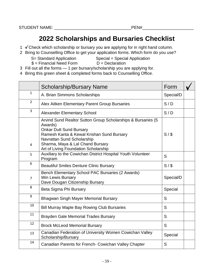# **2022 Scholarships and Bursaries Checklist**

- 1  $\checkmark$  [C](http://commons.wikimedia.org/wiki/File:Check_mark_23x20_02.svg)heck which scholarship or bursary you are applying for in right hand column.
- 2 [Bri](http://commons.wikimedia.org/wiki/File:Check_mark_23x20_02.svg)ng to Counselling Office to get your application forms. Which form do you use?
	- S= Standard Application Special = Special Application
	- $$ =$  Financial Need Form  $D =$  Declaration
		-
- 3 [Fill](http://commons.wikimedia.org/wiki/File:Check_mark_23x20_02.svg) out all the forms 1 per bursary/scholarship you are applying for.
- 4 [Bri](http://commons.wikimedia.org/wiki/File:Check_mark_23x20_02.svg)ng this green sheet & completed forms back to Counselling Office.

|                | <b>Scholarship/Bursary Name</b>                                                                                                                                                                                                                                  | Form      |  |
|----------------|------------------------------------------------------------------------------------------------------------------------------------------------------------------------------------------------------------------------------------------------------------------|-----------|--|
| $\mathbf{1}$   | A. Brian Simmons Scholarships                                                                                                                                                                                                                                    | Special/D |  |
| $\overline{2}$ | Alex Aitken Elementary Parent Group Bursaries                                                                                                                                                                                                                    | S/D       |  |
| 3              | <b>Alexander Elementary School</b>                                                                                                                                                                                                                               | S/D       |  |
| 4              | Arvind Sund Realtor Sutton Group Scholarships & Bursaries (5<br>Awards)<br><b>Onkar Dutt Sund Bursary</b><br>Ramesh Kanta & Kewal Krishan Sund Bursary<br>Navrattan Sund Scholarship<br>Sharma, Maya & Lal Chand Bursary<br>Art of Living Foundation Scholarship | S/        |  |
| 5              | Auxiliary to the Cowichan District Hospital Youth Volunteer<br>Program                                                                                                                                                                                           | S         |  |
| 6              | <b>Beautiful Smiles Denture Clinic Bursary</b>                                                                                                                                                                                                                   | S/S       |  |
| $\overline{7}$ | Bench Elementary School PAC Bursaries (2 Awards)<br>Win Lewis Bursary<br>Dave Dougan Citizenship Bursary                                                                                                                                                         | Special/D |  |
| 8              | Beta Sigma Phi Bursary                                                                                                                                                                                                                                           | Special   |  |
| 9              | <b>Bhagwan Singh Mayer Memorial Bursary</b>                                                                                                                                                                                                                      | S         |  |
| 10             | <b>Bill Murray Maple Bay Rowing Club Bursaries</b>                                                                                                                                                                                                               | S         |  |
| 11             | <b>Brayden Gale Memorial Trades Bursary</b>                                                                                                                                                                                                                      | S         |  |
| 12             | <b>Brock McLeod Memorial Bursary</b>                                                                                                                                                                                                                             | S         |  |
| 13             | Canadian Federation of University Women Cowichan Valley<br>Scholarship/Bursary                                                                                                                                                                                   | Special   |  |
| 14             | Canadian Parents for French- Cowichan Valley Chapter                                                                                                                                                                                                             | S         |  |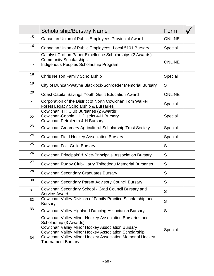|    | <b>Scholarship/Bursary Name</b>                                                                                                                                                                                                                                                       | Form          |  |
|----|---------------------------------------------------------------------------------------------------------------------------------------------------------------------------------------------------------------------------------------------------------------------------------------|---------------|--|
| 15 | Canadian Union of Public Employees Provincial Award                                                                                                                                                                                                                                   | <b>ONLINE</b> |  |
| 16 | Canadian Union of Public Employees- Local 5101 Bursary                                                                                                                                                                                                                                | Special       |  |
| 17 | Catalyst Crofton Paper Excellence Scholarships (2 Awards)<br><b>Community Scholarships</b><br>Indigenous Peoples Scholarship Program                                                                                                                                                  | <b>ONLINE</b> |  |
| 18 | Chris Nelson Family Scholarship                                                                                                                                                                                                                                                       | Special       |  |
| 19 | City of Duncan-Wayne Blacklock-Schroeder Memorial Bursary                                                                                                                                                                                                                             | S             |  |
| 20 | Coast Capital Savings Youth Get It Education Award                                                                                                                                                                                                                                    | <b>ONLINE</b> |  |
| 21 | Corporation of the District of North Cowichan Tom Walker<br>Forest Legacy Scholarship & Bursaries                                                                                                                                                                                     | Special       |  |
| 22 | Cowichan 4 H Club Bursaries (2 Awards)<br>Cowichan-Cobble Hill District 4-H Bursary<br>Cowichan Petroleum 4-H Bursary                                                                                                                                                                 | Special       |  |
| 23 | Cowichan Creamery Agricultural Scholarship Trust Society                                                                                                                                                                                                                              | Special       |  |
| 24 | Cowichan Field Hockey Association Bursary                                                                                                                                                                                                                                             | Special       |  |
| 25 | <b>Cowichan Folk Guild Bursary</b>                                                                                                                                                                                                                                                    | S             |  |
| 26 | Cowichan Principals' & Vice-Principals' Association Bursary                                                                                                                                                                                                                           | S             |  |
| 27 | Cowichan Rugby Club- Larry Thibodeau Memorial Bursaries                                                                                                                                                                                                                               | S             |  |
| 28 | <b>Cowichan Secondary Graduates Bursary</b>                                                                                                                                                                                                                                           | S             |  |
| 30 | Cowichan Secondary Parent Advisory Council Bursary                                                                                                                                                                                                                                    | S             |  |
| 31 | Cowichan Secondary School - Grad Council Bursary and<br><b>Service Award</b>                                                                                                                                                                                                          | S             |  |
| 32 | Cowichan Valley Division of Family Practice Scholarship and<br><b>Bursary</b>                                                                                                                                                                                                         | S             |  |
| 33 | Cowichan Valley Highland Dancing Association Bursary                                                                                                                                                                                                                                  | S             |  |
| 34 | Cowichan Valley Minor Hockey Association Bursaries and<br>Scholarship (3 Awards)<br>Cowichan Valley Minor Hockey Association Bursary<br>Cowichan Valley Minor Hockey Association Scholarship<br>Cowichan Valley Minor Hockey Association Memorial Hockey<br><b>Tournament Bursary</b> | Special       |  |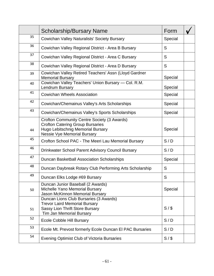|    | <b>Scholarship/Bursary Name</b>                                                                                                                                   | Form    |  |
|----|-------------------------------------------------------------------------------------------------------------------------------------------------------------------|---------|--|
| 35 | Cowichan Valley Naturalists' Society Bursary                                                                                                                      | Special |  |
| 36 | Cowichan Valley Regional District - Area B Bursary                                                                                                                | S       |  |
| 37 | Cowichan Valley Regional District - Area C Bursary                                                                                                                | S       |  |
| 38 | Cowichan Valley Regional District - Area D Bursary                                                                                                                | S       |  |
| 39 | Cowichan Valley Retired Teachers' Assn (Lloyd Gardner<br><b>Memorial Bursary</b>                                                                                  | Special |  |
| 40 | Cowichan Valley Teachers' Union Bursary - Col. R.M.<br>Lendrum Bursary                                                                                            | Special |  |
| 41 | <b>Cowichan Wheels Association</b>                                                                                                                                | Special |  |
| 42 | Cowichan/Chemainus Valley's Arts Scholarships                                                                                                                     | Special |  |
| 43 | Cowichan/Chemainus Valley's Sports Scholarships                                                                                                                   | Special |  |
| 44 | Crofton Community Centre Society (3 Awards)<br><b>Crofton Catering Group Bursaries</b><br>Hugo Lebitschnig Memorial Bursary<br><b>Nessie Vye Memorial Bursary</b> | Special |  |
| 45 | Crofton School PAC - The Meeri Lau Memorial Bursary                                                                                                               | S/D     |  |
| 46 | <b>Drinkwater School Parent Advisory Council Bursary</b>                                                                                                          | S/D     |  |
| 47 | <b>Duncan Basketball Association Scholarships</b>                                                                                                                 | Special |  |
| 48 | Duncan Daybreak Rotary Club Performing Arts Scholarship                                                                                                           | S       |  |
| 49 | Duncan Elks Lodge #69 Bursary                                                                                                                                     | S       |  |
| 50 | Duncan Junior Baseball (2 Awards)<br>Michelle Yano Memorial Bursary<br>Jason McKinnon Memorial Bursary                                                            | Special |  |
| 51 | Duncan Lions Club Bursaries (3 Awards)<br><b>Trevor Laird Memorial Bursary</b><br><b>Sassy Lion Thrift Store Bursary</b><br><b>Tim Jan Memorial Bursary</b>       | S/S     |  |
| 52 | <b>Ecole Cobble Hill Bursary</b>                                                                                                                                  | S/D     |  |
| 53 | Ecole Mt. Prevost formerly Ecole Duncan El PAC Bursaries                                                                                                          | S/D     |  |
| 54 | <b>Evening Optimist Club of Victoria Bursaries</b>                                                                                                                | S/      |  |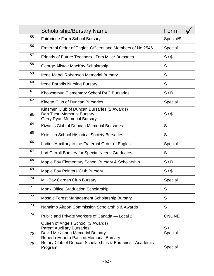|    | <b>Scholarship/Bursary Name</b>                                                                                                                     | Form          |  |
|----|-----------------------------------------------------------------------------------------------------------------------------------------------------|---------------|--|
| 55 | Fairbridge Farm School Bursary                                                                                                                      | Special/\$    |  |
| 56 | Fraternal Order of Eagles-Officers and Members of No 2546                                                                                           | Special       |  |
| 57 | <b>Friends of Future Teachers - Tom Miller Bursaries</b>                                                                                            | S/S           |  |
| 58 | George Alistair MacKay Scholarship                                                                                                                  | S             |  |
| 59 | Irene Mabel Robertson Memorial Bursary                                                                                                              | S             |  |
| 60 | <b>Irene Paradis Nursing Bursary</b>                                                                                                                | S             |  |
| 61 | Khowhemun Elementary School PAC Bursaries                                                                                                           | S/D           |  |
| 62 | Kinette Club of Duncan Bursaries                                                                                                                    | Special       |  |
| 63 | Kinsmen Club of Duncan Bursaries (2 Awards)<br>Dan Tiesu Memorial Bursary<br>Gerry Ryan Memorial Bursary                                            | S/S           |  |
| 64 | Kiwanis Club of Duncan Memorial Bursaries                                                                                                           | S             |  |
| 65 | <b>Koksilah School Historical Society Bursaries</b>                                                                                                 | S             |  |
| 66 | Ladies Auxiliary to the Fraternal Order of Eagles                                                                                                   | Special       |  |
| 67 | Lori Carroll Bursary for Special Needs Graduates                                                                                                    | S             |  |
| 68 | Maple Bay Elementary School Bursary & Scholarship                                                                                                   | S/D           |  |
| 69 | Maple Bay Painters Club Bursary                                                                                                                     | S/S           |  |
| 70 | Mill Bay Garden Club Bursary                                                                                                                        | Special       |  |
| 71 | <b>Monk Office Graduation Scholarship</b>                                                                                                           | S             |  |
| 72 | Mosaic Forest Management Scholarship Bursary                                                                                                        | S             |  |
| 73 | Nanaimo Airport Commission Scholarship & Awards                                                                                                     | S             |  |
| 74 | Public and Private Workers of Canada – Local 2                                                                                                      | <b>ONLINE</b> |  |
| 75 | Queen of Angels School (3 Awards)<br><b>Parent Auxiliary Bursaries</b><br>David McKinnon Memorial Bursary<br>Roberta Honora Pascoe Memorial Bursary | S/<br>Special |  |
| 76 | Rotary Club of Duncan Scholarships & Bursaries - Academic<br>Program                                                                                | Special       |  |